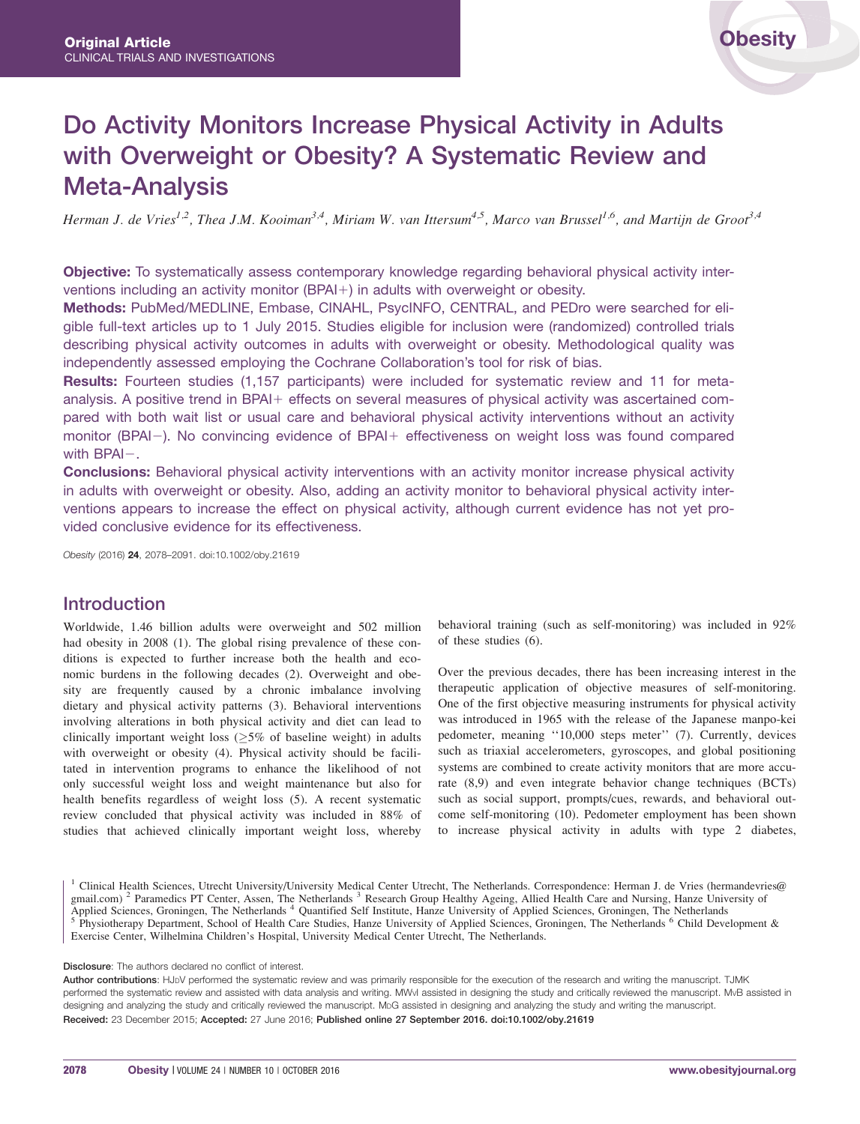# Do Activity Monitors Increase Physical Activity in Adults with Overweight or Obesity? A Systematic Review and Meta-Analysis

Herman J. de Vries<sup>1,2</sup>, Thea J.M. Kooiman<sup>3,4</sup>, Miriam W. van Ittersum<sup>4,5</sup>, Marco van Brussel<sup>1,6</sup>, and Martijn de Groot<sup>3,4</sup>

Objective: To systematically assess contemporary knowledge regarding behavioral physical activity interventions including an activity monitor (BPAI $+$ ) in adults with overweight or obesity.

Methods: PubMed/MEDLINE, Embase, CINAHL, PsycINFO, CENTRAL, and PEDro were searched for eligible full-text articles up to 1 July 2015. Studies eligible for inclusion were (randomized) controlled trials describing physical activity outcomes in adults with overweight or obesity. Methodological quality was independently assessed employing the Cochrane Collaboration's tool for risk of bias.

Results: Fourteen studies (1,157 participants) were included for systematic review and 11 for metaanalysis. A positive trend in BPAI+ effects on several measures of physical activity was ascertained compared with both wait list or usual care and behavioral physical activity interventions without an activity monitor (BPAI-). No convincing evidence of BPAI+ effectiveness on weight loss was found compared with  $BPAI-$ .

**Conclusions:** Behavioral physical activity interventions with an activity monitor increase physical activity in adults with overweight or obesity. Also, adding an activity monitor to behavioral physical activity interventions appears to increase the effect on physical activity, although current evidence has not yet provided conclusive evidence for its effectiveness.

Obesity (2016) 24, 2078–2091. doi:10.1002/oby.21619

# Introduction

Worldwide, 1.46 billion adults were overweight and 502 million had obesity in 2008 (1). The global rising prevalence of these conditions is expected to further increase both the health and economic burdens in the following decades (2). Overweight and obesity are frequently caused by a chronic imbalance involving dietary and physical activity patterns (3). Behavioral interventions involving alterations in both physical activity and diet can lead to clinically important weight loss  $(\geq)5\%$  of baseline weight) in adults with overweight or obesity (4). Physical activity should be facilitated in intervention programs to enhance the likelihood of not only successful weight loss and weight maintenance but also for health benefits regardless of weight loss (5). A recent systematic review concluded that physical activity was included in 88% of studies that achieved clinically important weight loss, whereby

behavioral training (such as self-monitoring) was included in 92% of these studies (6).

Over the previous decades, there has been increasing interest in the therapeutic application of objective measures of self-monitoring. One of the first objective measuring instruments for physical activity was introduced in 1965 with the release of the Japanese manpo-kei pedometer, meaning ''10,000 steps meter'' (7). Currently, devices such as triaxial accelerometers, gyroscopes, and global positioning systems are combined to create activity monitors that are more accurate (8,9) and even integrate behavior change techniques (BCTs) such as social support, prompts/cues, rewards, and behavioral outcome self-monitoring (10). Pedometer employment has been shown to increase physical activity in adults with type 2 diabetes,

<sup>1</sup> Clinical Health Sciences, Utrecht University/University Medical Center Utrecht, The Netherlands. Correspondence: Herman J. de Vries (hermandevries@ gmail.com)<sup>2</sup> Paramedics PT Center, Assen, The Netherlands<sup>3</sup> Research Group Healthy Ageing, Allied Health Care and Nursing, Hanze University of Applied Sciences, Groningen, The Netherlands<sup>4</sup> Quantified Self Institute, Ha <sup>5</sup> Physiotherapy Department, School of Health Care Studies, Hanze University of Applied Sciences, Groningen, The Netherlands <sup>6</sup> Child Development & Exercise Center, Wilhelmina Children's Hospital, University Medical Center Utrecht, The Netherlands.

Disclosure: The authors declared no conflict of interest.

Author contributions: HJDV performed the systematic review and was primarily responsible for the execution of the research and writing the manuscript. TJMK performed the systematic review and assisted with data analysis and writing. MWVI assisted in designing the study and critically reviewed the manuscript. MvB assisted in designing and analyzing the study and critically reviewed the manuscript. MDG assisted in designing and analyzing the study and writing the manuscript. Received: 23 December 2015; Accepted: 27 June 2016; Published online 27 September 2016. doi:10.1002/oby.21619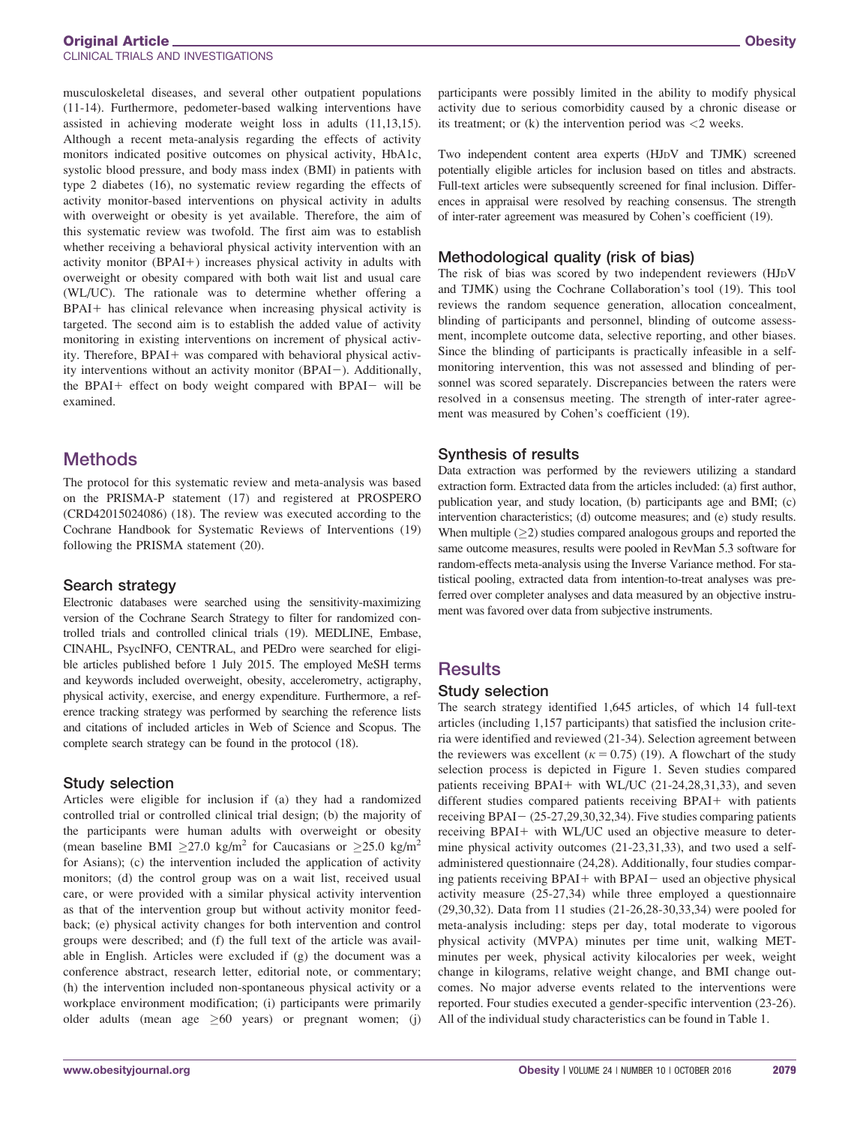#### Original Article Obesity CLINICAL TRIALS AND INVESTIGATIONS

musculoskeletal diseases, and several other outpatient populations (11-14). Furthermore, pedometer-based walking interventions have assisted in achieving moderate weight loss in adults (11,13,15). Although a recent meta-analysis regarding the effects of activity monitors indicated positive outcomes on physical activity, HbA1c, systolic blood pressure, and body mass index (BMI) in patients with type 2 diabetes (16), no systematic review regarding the effects of activity monitor-based interventions on physical activity in adults with overweight or obesity is yet available. Therefore, the aim of this systematic review was twofold. The first aim was to establish whether receiving a behavioral physical activity intervention with an activity monitor  $(BPAI+)$  increases physical activity in adults with overweight or obesity compared with both wait list and usual care (WL/UC). The rationale was to determine whether offering a  $BPAI+$  has clinical relevance when increasing physical activity is targeted. The second aim is to establish the added value of activity monitoring in existing interventions on increment of physical activity. Therefore, BPAI+ was compared with behavioral physical activity interventions without an activity monitor (BPAI-). Additionally, the BPAI $+$  effect on body weight compared with BPAI $-$  will be examined.

# **Methods**

The protocol for this systematic review and meta-analysis was based on the PRISMA-P statement (17) and registered at PROSPERO (CRD42015024086) (18). The review was executed according to the Cochrane Handbook for Systematic Reviews of Interventions (19) following the PRISMA statement (20).

#### Search strategy

Electronic databases were searched using the sensitivity-maximizing version of the Cochrane Search Strategy to filter for randomized controlled trials and controlled clinical trials (19). MEDLINE, Embase, CINAHL, PsycINFO, CENTRAL, and PEDro were searched for eligible articles published before 1 July 2015. The employed MeSH terms and keywords included overweight, obesity, accelerometry, actigraphy, physical activity, exercise, and energy expenditure. Furthermore, a reference tracking strategy was performed by searching the reference lists and citations of included articles in Web of Science and Scopus. The complete search strategy can be found in the protocol (18).

#### Study selection

Articles were eligible for inclusion if (a) they had a randomized controlled trial or controlled clinical trial design; (b) the majority of the participants were human adults with overweight or obesity (mean baseline BMI  $\geq$ 27.0 kg/m<sup>2</sup> for Caucasians or  $\geq$ 25.0 kg/m<sup>2</sup> for Asians); (c) the intervention included the application of activity monitors; (d) the control group was on a wait list, received usual care, or were provided with a similar physical activity intervention as that of the intervention group but without activity monitor feedback; (e) physical activity changes for both intervention and control groups were described; and (f) the full text of the article was available in English. Articles were excluded if (g) the document was a conference abstract, research letter, editorial note, or commentary; (h) the intervention included non-spontaneous physical activity or a workplace environment modification; (i) participants were primarily older adults (mean age  $\geq 60$  years) or pregnant women; (j)

participants were possibly limited in the ability to modify physical activity due to serious comorbidity caused by a chronic disease or its treatment; or  $(k)$  the intervention period was  $\langle 2 \rangle$  weeks.

Two independent content area experts (HJDV and TJMK) screened potentially eligible articles for inclusion based on titles and abstracts. Full-text articles were subsequently screened for final inclusion. Differences in appraisal were resolved by reaching consensus. The strength of inter-rater agreement was measured by Cohen's coefficient (19).

## Methodological quality (risk of bias)

The risk of bias was scored by two independent reviewers (HJDV and TJMK) using the Cochrane Collaboration's tool (19). This tool reviews the random sequence generation, allocation concealment, blinding of participants and personnel, blinding of outcome assessment, incomplete outcome data, selective reporting, and other biases. Since the blinding of participants is practically infeasible in a selfmonitoring intervention, this was not assessed and blinding of personnel was scored separately. Discrepancies between the raters were resolved in a consensus meeting. The strength of inter-rater agreement was measured by Cohen's coefficient (19).

## Synthesis of results

Data extraction was performed by the reviewers utilizing a standard extraction form. Extracted data from the articles included: (a) first author, publication year, and study location, (b) participants age and BMI; (c) intervention characteristics; (d) outcome measures; and (e) study results. When multiple  $(\geq 2)$  studies compared analogous groups and reported the same outcome measures, results were pooled in RevMan 5.3 software for random-effects meta-analysis using the Inverse Variance method. For statistical pooling, extracted data from intention-to-treat analyses was preferred over completer analyses and data measured by an objective instrument was favored over data from subjective instruments.

# **Results**

#### Study selection

The search strategy identified 1,645 articles, of which 14 full-text articles (including 1,157 participants) that satisfied the inclusion criteria were identified and reviewed (21-34). Selection agreement between the reviewers was excellent ( $\kappa = 0.75$ ) (19). A flowchart of the study selection process is depicted in Figure 1. Seven studies compared patients receiving BPAI+ with WL/UC  $(21-24,28,31,33)$ , and seven different studies compared patients receiving BPAI+ with patients receiving  $BPAI - (25-27,29,30,32,34)$ . Five studies comparing patients receiving BPAI+ with WL/UC used an objective measure to determine physical activity outcomes (21-23,31,33), and two used a selfadministered questionnaire (24,28). Additionally, four studies comparing patients receiving  $BPAI+$  with  $BPAI-$  used an objective physical activity measure (25-27,34) while three employed a questionnaire (29,30,32). Data from 11 studies (21-26,28-30,33,34) were pooled for meta-analysis including: steps per day, total moderate to vigorous physical activity (MVPA) minutes per time unit, walking METminutes per week, physical activity kilocalories per week, weight change in kilograms, relative weight change, and BMI change outcomes. No major adverse events related to the interventions were reported. Four studies executed a gender-specific intervention (23-26). All of the individual study characteristics can be found in Table 1.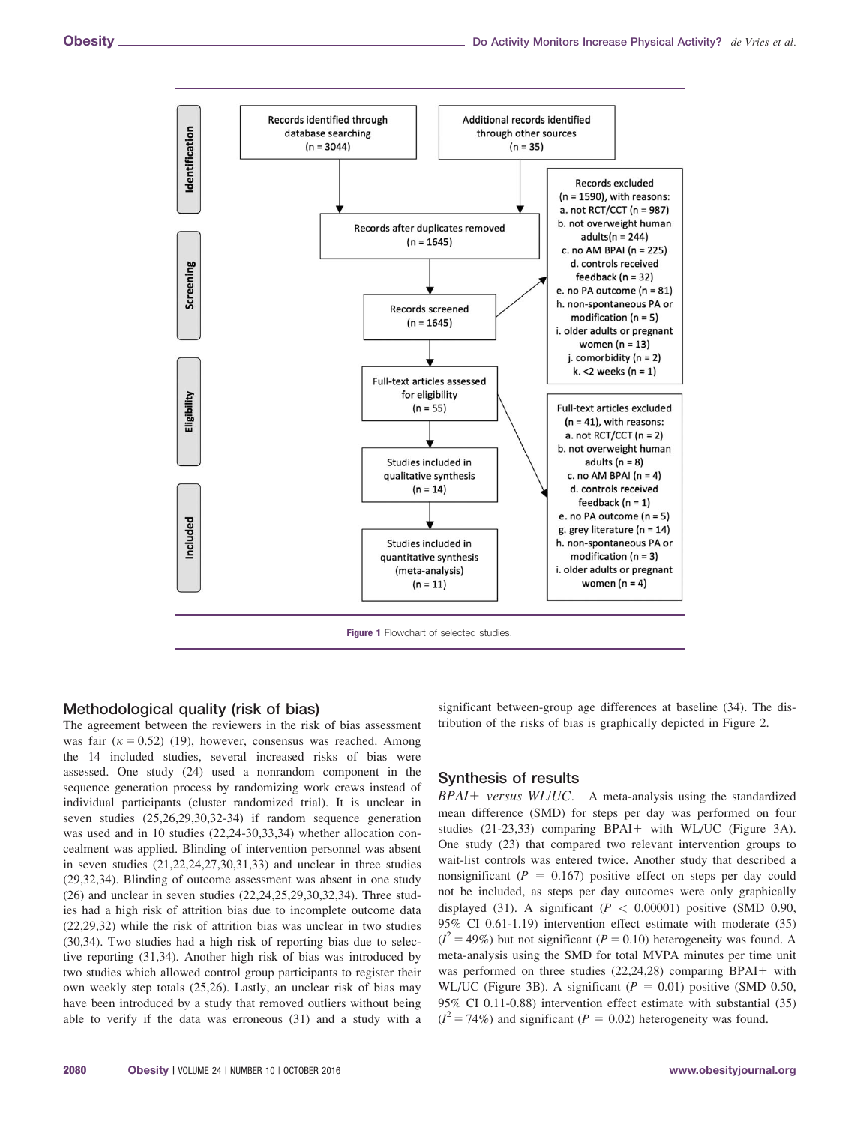

#### Methodological quality (risk of bias)

The agreement between the reviewers in the risk of bias assessment was fair  $(k = 0.52)$  (19), however, consensus was reached. Among the 14 included studies, several increased risks of bias were assessed. One study (24) used a nonrandom component in the sequence generation process by randomizing work crews instead of individual participants (cluster randomized trial). It is unclear in seven studies (25,26,29,30,32-34) if random sequence generation was used and in 10 studies (22,24-30,33,34) whether allocation concealment was applied. Blinding of intervention personnel was absent in seven studies (21,22,24,27,30,31,33) and unclear in three studies (29,32,34). Blinding of outcome assessment was absent in one study (26) and unclear in seven studies (22,24,25,29,30,32,34). Three studies had a high risk of attrition bias due to incomplete outcome data (22,29,32) while the risk of attrition bias was unclear in two studies (30,34). Two studies had a high risk of reporting bias due to selective reporting (31,34). Another high risk of bias was introduced by two studies which allowed control group participants to register their own weekly step totals (25,26). Lastly, an unclear risk of bias may have been introduced by a study that removed outliers without being able to verify if the data was erroneous (31) and a study with a

significant between-group age differences at baseline (34). The distribution of the risks of bias is graphically depicted in Figure 2.

## Synthesis of results

 $BPAI+versus WL/UC.$  A meta-analysis using the standardized mean difference (SMD) for steps per day was performed on four studies  $(21-23,33)$  comparing BPAI+ with WL/UC (Figure 3A). One study (23) that compared two relevant intervention groups to wait-list controls was entered twice. Another study that described a nonsignificant ( $P = 0.167$ ) positive effect on steps per day could not be included, as steps per day outcomes were only graphically displayed (31). A significant ( $P < 0.00001$ ) positive (SMD 0.90, 95% CI 0.61-1.19) intervention effect estimate with moderate (35)  $(I^2 = 49\%)$  but not significant (P = 0.10) heterogeneity was found. A meta-analysis using the SMD for total MVPA minutes per time unit was performed on three studies  $(22,24,28)$  comparing BPAI+ with WL/UC (Figure 3B). A significant ( $P = 0.01$ ) positive (SMD 0.50, 95% CI 0.11-0.88) intervention effect estimate with substantial (35)  $(I^2 = 74\%)$  and significant (P = 0.02) heterogeneity was found.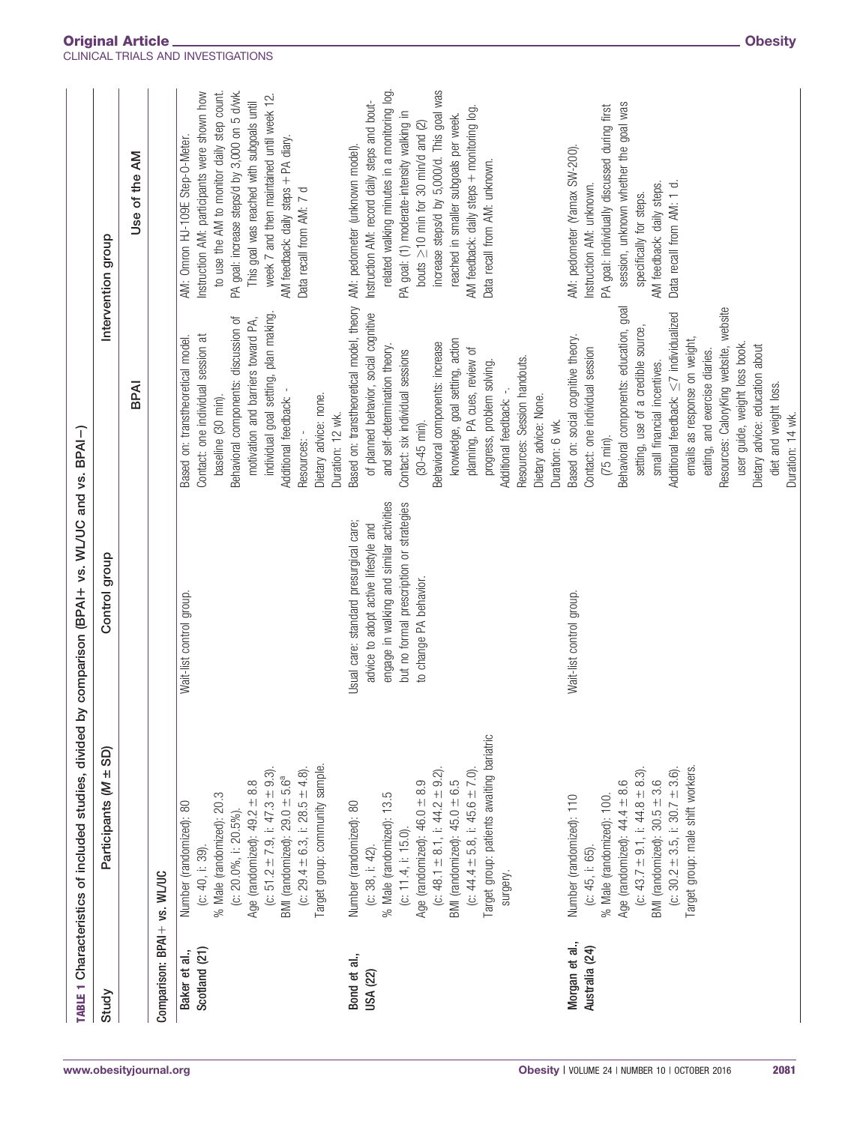|                                  | TABLE 1 Characteristics of included studies, divided by                                                                                                                                                                                                                                                                | comparison (BPAI + vs. WL/UC and vs. BPAI-)                                                                                                                                                      |                                                                                                                                                                                                                                                                                                                                                                                                                                                                                   |                                                                                                                                                                                                                                                                                                                                                                                                |
|----------------------------------|------------------------------------------------------------------------------------------------------------------------------------------------------------------------------------------------------------------------------------------------------------------------------------------------------------------------|--------------------------------------------------------------------------------------------------------------------------------------------------------------------------------------------------|-----------------------------------------------------------------------------------------------------------------------------------------------------------------------------------------------------------------------------------------------------------------------------------------------------------------------------------------------------------------------------------------------------------------------------------------------------------------------------------|------------------------------------------------------------------------------------------------------------------------------------------------------------------------------------------------------------------------------------------------------------------------------------------------------------------------------------------------------------------------------------------------|
| Study                            | $\pm$ SD)<br>Participants (M                                                                                                                                                                                                                                                                                           | Control group                                                                                                                                                                                    |                                                                                                                                                                                                                                                                                                                                                                                                                                                                                   | Intervention group                                                                                                                                                                                                                                                                                                                                                                             |
|                                  |                                                                                                                                                                                                                                                                                                                        |                                                                                                                                                                                                  | BPAI                                                                                                                                                                                                                                                                                                                                                                                                                                                                              | Use of the AM                                                                                                                                                                                                                                                                                                                                                                                  |
| Comparison: BPAI + vs. WL/UC     |                                                                                                                                                                                                                                                                                                                        |                                                                                                                                                                                                  |                                                                                                                                                                                                                                                                                                                                                                                                                                                                                   |                                                                                                                                                                                                                                                                                                                                                                                                |
| Scotland (21)<br>Baker et al.,   | Target group: community sample.<br>(c: 51.2 $\pm$ 7.9, i: 47.3 $\pm$ 9.3).<br>(c: $29.4 \pm 6.3$ , i: $28.5 \pm 4.8$ )<br>BMI (randomized): $29.0 \pm 5.6^a$<br>Age (randomized): $49.2 \pm 8.8$<br>% Male (randomized): 20.3<br>Number (randomized): 80<br>(c: $20.0\%$ , i: $20.5\%$ ).<br>$(C: 40, i: 39)$ .        | Wait-list control group.                                                                                                                                                                         | individual goal setting, plan making<br>Behavioral components: discussion of<br>motivation and barriers toward PA,<br>Contact: one individual session at<br>Based on: transtheoretical model.<br>Additional feedback: -<br>Dietary advice: none.<br>baseline (30 min).<br>Duration: 12 wk.<br>Resources:                                                                                                                                                                          | to use the AM to monitor daily step count.<br>PA goal: increase steps/d by 3,000 on 5 d/wk.<br>Instruction AM: participants were shown how<br>week 7 and then maintained until week 12.<br>This goal was reached with subgoals until<br>AM: Omron HJ-109E Step-O-Meter.<br>AM feedback: daily steps + PA diary.<br>Data recall from AM: 7 d                                                    |
| Bond et al.,<br>USA (22)         | Target group: patients awaiting bariatric<br>(c: 48.1 $\pm$ 8.1, i: 44.2 $\pm$ 9.2)<br>(c: 44.4 $\pm$ 5.8, i: 45.6 $\pm$ 7.0)<br>BMI (randomized): $45.0 \pm 6.5$<br>Age (randomized): $46.0 \pm 8.9$<br>% Male (randomized): 13.5<br>Number (randomized): 80<br>$(c: 11.4, i: 15.0)$ .<br>(c: 38, i: 42).<br>surgery. | engage in walking and similar activities<br>but no formal prescription or strategies<br>Usual care: standard presurgical care;<br>advice to adopt active lifestyle and<br>to change PA behavior. | Based on: transtheoretical model, theory<br>of planned behavior, social cognitive<br>knowledge, goal setting, action<br>Behavioral components: increase<br>and self-determination theory.<br>planning, PA cues, review of<br>Contact: six individual sessions<br>Resources: Session handouts.<br>progress, problem solving.<br>Dietary advice: None.<br>Additional feedback:<br>Duration: 6 wk.<br>$(30-45 \text{ min}).$                                                         | related walking minutes in a monitoring log.<br>increase steps/d by 5,000/d. This goal was<br>Instruction AM: record daily steps and bout-<br>AM feedback: daily steps + monitoring log.<br>PA goal: (1) moderate-intensity walking in<br>reached in smaller subgoals per week.<br>bouts $\geq$ 10 min for 30 min/d and (2)<br>AM: pedometer (unknown model).<br>Data recall from AM: unknown. |
| Morgan et al.,<br>Australia (24) | Target group: male shift workers.<br>(c: $30.2 \pm 3.5$ , i: $30.7 \pm 3.6$ ).<br>(c: 43.7 $\pm$ 9.1, i: 44.8 $\pm$ 8.3)<br>BMI (randomized): $30.5 \pm 3.6$<br>Age (randomized): $44.4 \pm 8.6$<br>Number (randomized): 110<br>% Male (randomized): 100.<br>(c: 45, i: 65).                                           | Wait-list control group.                                                                                                                                                                         | Behavioral components: education, goal<br>Resources: CaloryKing website, website<br>Additional feedback: $\leq$ 7 individualized<br>setting, use of a credible source,<br>Based on: social cognitive theory.<br>emails as response on weight,<br>user guide, weight loss book.<br>Dietary advice: education about<br>Contact: one individual session<br>eating, and exercise diaries.<br>small financial incentives.<br>diet and weight loss.<br>Duration: 14 wk.<br>$(75 min)$ . | session, unknown whether the goal was<br>PA goal: individually discussed during first<br>AM: pedometer (Yamax SW-200).<br>Data recall from AM: 1 d.<br>AM feedback: daily steps.<br>Instruction AM: unknown.<br>specifically for steps.                                                                                                                                                        |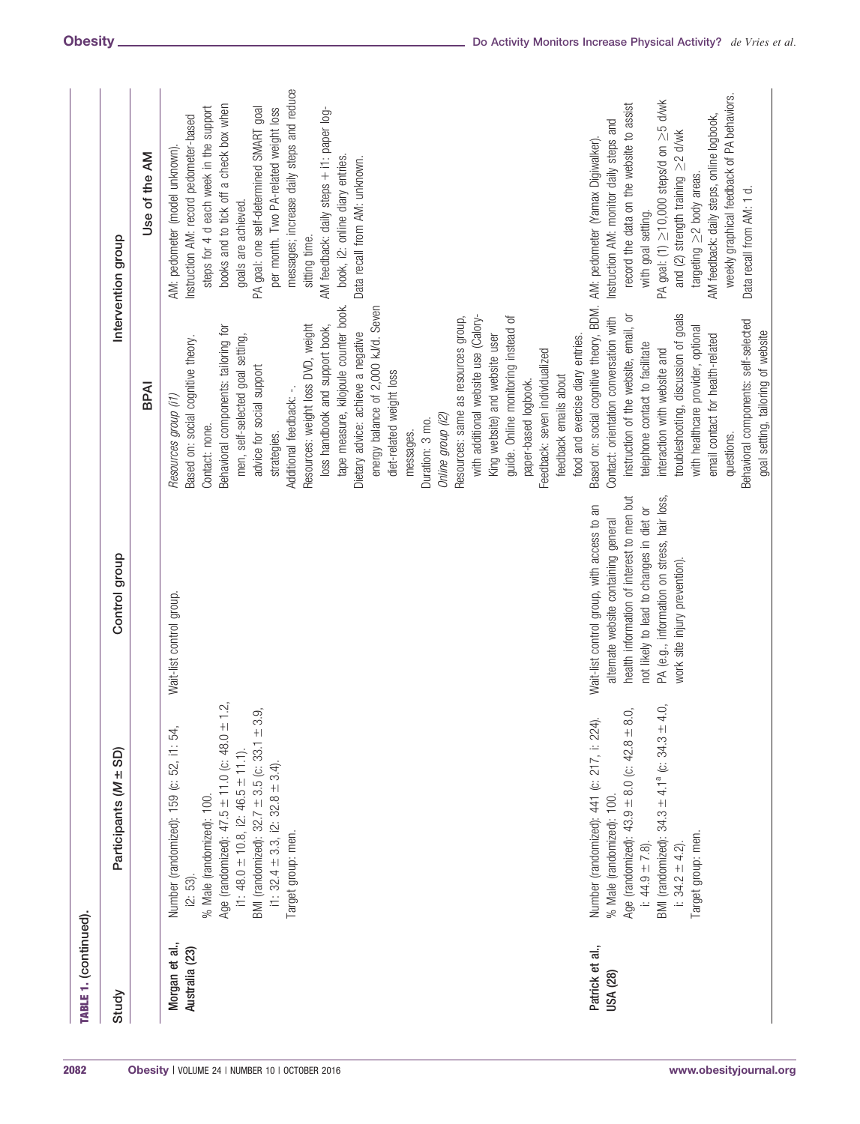| Study                            | Participants (M ± SD)                                                                                                                                                                                                                                                                                                    | Control group                                                                                                                                                                                                                                               |                                                                                                                                                                                                                                                                                                                                                                                                                                                                                                                                                                                                                                                                                                                                                                                                | Intervention group                                                                                                                                                                                                                                                                                                                                                                                                                                     |
|----------------------------------|--------------------------------------------------------------------------------------------------------------------------------------------------------------------------------------------------------------------------------------------------------------------------------------------------------------------------|-------------------------------------------------------------------------------------------------------------------------------------------------------------------------------------------------------------------------------------------------------------|------------------------------------------------------------------------------------------------------------------------------------------------------------------------------------------------------------------------------------------------------------------------------------------------------------------------------------------------------------------------------------------------------------------------------------------------------------------------------------------------------------------------------------------------------------------------------------------------------------------------------------------------------------------------------------------------------------------------------------------------------------------------------------------------|--------------------------------------------------------------------------------------------------------------------------------------------------------------------------------------------------------------------------------------------------------------------------------------------------------------------------------------------------------------------------------------------------------------------------------------------------------|
|                                  |                                                                                                                                                                                                                                                                                                                          |                                                                                                                                                                                                                                                             | BPAI                                                                                                                                                                                                                                                                                                                                                                                                                                                                                                                                                                                                                                                                                                                                                                                           | Use of the AM                                                                                                                                                                                                                                                                                                                                                                                                                                          |
| Morgan et al.,<br>Australia (23) | Age (randomized): $47.5 \pm 11.0$ (c: $48.0 \pm 1.2$ ,<br>BMI (randomized): $32.7 \pm 3.5$ (c: $33.1 \pm 3.9$ ,<br>Number (randomized): 159 (c: 52, i1: 54,<br>i1: 48.0 $\pm$ 10.8, i2: 46.5 $\pm$ 11.1).<br>i1: $32.4 \pm 3.3$ , i2: $32.8 \pm 3.4$ ).<br>% Male (randomized): 100.<br>Target group: men.<br>$[2:53]$ . | Wait-list control group.                                                                                                                                                                                                                                    | tape measure, kilojoule counter book.<br>energy balance of 2,000 kJ/d. Seven<br>with additional website use (Calory-<br>Resources: same as resources group,<br>guide. Online monitoring instead of<br>Resources: weight loss DVD, weight<br>Behavioral components: tailoring for<br>loss handbook and support book,<br>Dietary advice: achieve a negative<br>men, self-selected goal setting,<br>King website) and website user<br>food and exercise diary entries.<br>Based on: social cognitive theory.<br>Feedback: seven individualized<br>advice for social support<br>diet-related weight loss<br>feedback emails about<br>paper-based logbook.<br>Additional feedback: -.<br>Resources group (i1)<br>Online group (i2)<br>Duration: 3 mo.<br>Contact: none.<br>messages.<br>strategies. | messages; increase daily steps and reduce<br>books and to tick off a check box when<br>steps for 4 d each week in the support<br>PA goal: one self-determined SMART goal<br>per month. Two PA-related weight loss<br>AM feedback: daily steps + i1: paper log-<br>Instruction AM: record pedometer-based<br>AM: pedometer (model unknown).<br>book, i2: online diary entries.<br>Data recall from AM: unknown.<br>goals are achieved.<br>sitting time. |
| Patrick et al.,<br>USA (28)      | BMI (randomized): $34.3 \pm 4.1^{\circ}$ (c: $34.3 \pm 4.0$ ,<br>Age (randomized): $43.9 \pm 8.0$ (c: $42.8 \pm 8.0$ ,<br>Number (randomized): 441 (c: 217, i: 224).<br>% Male (randomized): 100.<br>Target group: men.<br>i: 34.2 $\pm$ 4.2).<br>$1: 44.9 + 7.8$ ).                                                     | PA (e.g., information on stress, hair loss,<br>health information of interest to men but<br>not likely to lead to changes in diet or<br>Wait-list control group, with access to an<br>alternate website containing general<br>work site injury prevention). | Based on: social cognitive theory, BDM. AM: pedometer (Yamax Digiwalker).<br>troubleshooting, discussion of goals<br>instruction of the website, email, or<br>Contact: orientation conversation with<br>Behavioral components: self-selected<br>with healthcare provider, optional<br>goal setting, tailoring of website<br>email contact for health-related<br>telephone contact to facilitate<br>interaction with website and<br>questions.                                                                                                                                                                                                                                                                                                                                                  | weekly graphical feedback of PA behaviors.<br>PA goal: (1) ≥10,000 steps/d on ≥5 d/wk<br>record the data on the website to assist<br>AM feedback: daily steps, online logbook,<br>Instruction AM: monitor daily steps and<br>and (2) strength training $\geq$ 2 d/wk<br>targeting $\geq$ 2 body areas.<br>Data recall from AM: 1 d.<br>with goal setting.                                                                                              |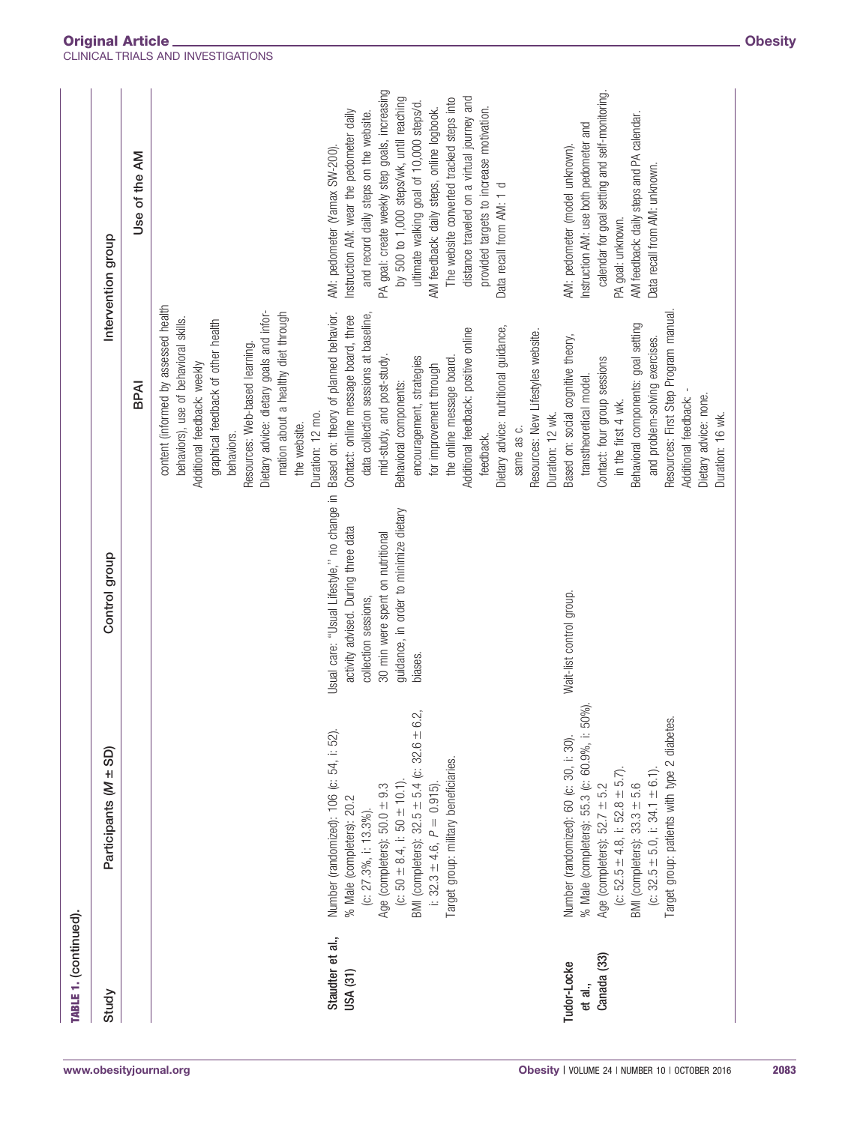| TABLE 1. (continued).                 |                                                                                                                                                                                                                                                                                                                      |                                                                                                                                                                                                     |                                                                                                                                                                                                                                                                                                                                                                                                                                           |                                                                                                                                                                                                                                                                                                                                                                                                                                                                             |
|---------------------------------------|----------------------------------------------------------------------------------------------------------------------------------------------------------------------------------------------------------------------------------------------------------------------------------------------------------------------|-----------------------------------------------------------------------------------------------------------------------------------------------------------------------------------------------------|-------------------------------------------------------------------------------------------------------------------------------------------------------------------------------------------------------------------------------------------------------------------------------------------------------------------------------------------------------------------------------------------------------------------------------------------|-----------------------------------------------------------------------------------------------------------------------------------------------------------------------------------------------------------------------------------------------------------------------------------------------------------------------------------------------------------------------------------------------------------------------------------------------------------------------------|
| Study                                 | Participants (M ± SD)                                                                                                                                                                                                                                                                                                | Control group                                                                                                                                                                                       |                                                                                                                                                                                                                                                                                                                                                                                                                                           | Intervention group                                                                                                                                                                                                                                                                                                                                                                                                                                                          |
|                                       |                                                                                                                                                                                                                                                                                                                      |                                                                                                                                                                                                     | BPAI                                                                                                                                                                                                                                                                                                                                                                                                                                      | Use of the AM                                                                                                                                                                                                                                                                                                                                                                                                                                                               |
|                                       |                                                                                                                                                                                                                                                                                                                      |                                                                                                                                                                                                     | content (informed by assessed health<br>Dietary advice: dietary goals and infor-<br>mation about a healthy diet through<br>behaviors), use of behavioral skills.<br>graphical feedback of other health<br>Resources: Web-based learning.<br>Additional feedback: weekly<br>Duration: 12 mo.<br>the website.<br>behaviors.                                                                                                                 |                                                                                                                                                                                                                                                                                                                                                                                                                                                                             |
| Staudter et al.,<br>USA (31)          | BMI (completers): $32.5 \pm 5.4$ (c: $32.6 \pm 6.2$ ,<br>Number (randomized): 106 (c: 54, i: 52).<br>Target group: military beneficiaries.<br>(c: $50 \pm 8.4$ , i: $50 \pm 10.1$ )<br>Age (completers): $50.0 \pm 9.3$<br>i: $32.3 \pm 4.6$ , $P = 0.915$<br>% Male (completers): 20.2<br>(c: $27.3\%$ , i: 13.3%). | Usual care: "Usual Lifestyle," no change in<br>guidance, in order to minimize dietary<br>activity advised. During three data<br>30 min were spent on nutritional<br>collection sessions,<br>biases. | Based on: theory of planned behavior.<br>data collection sessions at baseline,<br>Contact: online message board, three<br>Dietary advice: nutritional guidance,<br>Additional feedback: positive online<br>Resources: New Lifestyles website.<br>mid-study, and post-study.<br>encouragement, strategies<br>the online message board.<br>for improvement through<br>Behavioral components:<br>Duration: 12 wk.<br>same as c.<br>feedback. | PA goal: create weekly step goals, increasing<br>distance traveled on a virtual journey and<br>by 500 to 1,000 steps/wk, until reaching<br>The website converted tracked steps into<br>ultimate walking goal of 10,000 steps/d.<br>provided targets to increase motivation.<br>AM feedback: daily steps, online logbook.<br>Instruction AM: wear the pedometer daily<br>and record daily steps on the website.<br>AM: pedometer (Yamax SW-200).<br>Data recall from AM: 1 d |
| Canada (33)<br>Tudor-Locke<br>et al., | % Male (completers): 55.3 (c: 60.9%, i: 50%)<br>Target group: patients with type 2 diabetes.<br>Number (randomized): 60 (c: 30, i: 30).<br>(c: $52.5 \pm 4.8$ , i: $52.8 \pm 5.7$ ).<br>(c: $32.5 \pm 5.0$ , i: $34.1 \pm 6.1$ ).<br>BMI (completers): 33.3 ± 5.6<br>Age (completers): $52.7 \pm 5.2$                | Wait-list control group.                                                                                                                                                                            | Resources: First Step Program manual<br>Behavioral components: goal setting<br>Based on: social cognitive theory,<br>and problem-solving exercises.<br>Contact: four group sessions<br>transtheoretical model<br>Dietary advice: none.<br>Additional feedback:<br>in the first 4 wk.<br>Duration: 16 wk.                                                                                                                                  | calendar for goal setting and self-monitoring<br>AM feedback: daily steps and PA calendar.<br>Instruction AM: use both pedometer and<br>AM: pedometer (model unknown).<br>Data recall from AM: unknown.<br>PA goal: unknown.                                                                                                                                                                                                                                                |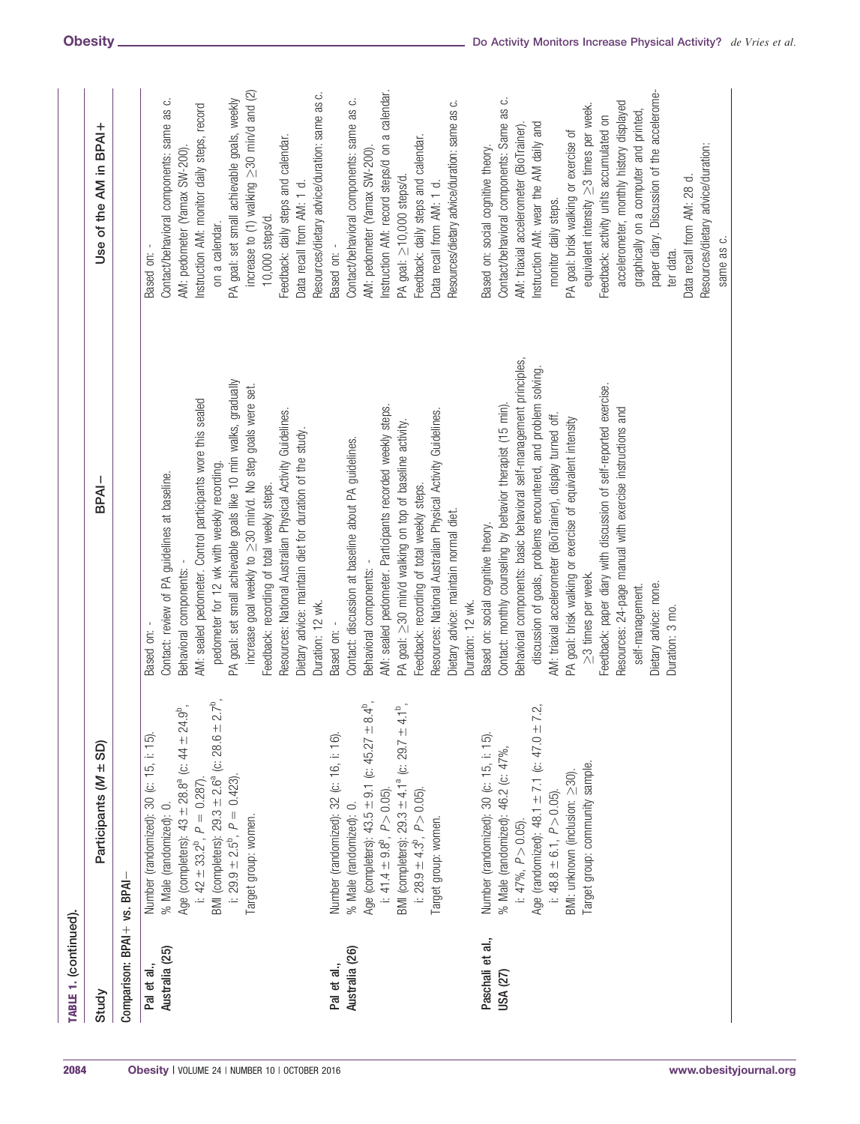| TABLE 1. (continued).         |                                                                                                                                                                                                                                                                                                                         |                                                                                                                                                                                                                                                                                                                                                                                                                                                                                                                                                                                                 |                                                                                                                                                                                                                                                                                                                                                                                                                                                                                                                                                                |
|-------------------------------|-------------------------------------------------------------------------------------------------------------------------------------------------------------------------------------------------------------------------------------------------------------------------------------------------------------------------|-------------------------------------------------------------------------------------------------------------------------------------------------------------------------------------------------------------------------------------------------------------------------------------------------------------------------------------------------------------------------------------------------------------------------------------------------------------------------------------------------------------------------------------------------------------------------------------------------|----------------------------------------------------------------------------------------------------------------------------------------------------------------------------------------------------------------------------------------------------------------------------------------------------------------------------------------------------------------------------------------------------------------------------------------------------------------------------------------------------------------------------------------------------------------|
| Study                         | Participants (M ± SD)                                                                                                                                                                                                                                                                                                   | BPAI-                                                                                                                                                                                                                                                                                                                                                                                                                                                                                                                                                                                           | Use of the AM in BPAI+                                                                                                                                                                                                                                                                                                                                                                                                                                                                                                                                         |
| Comparison: BPAI + vs. BPAI   |                                                                                                                                                                                                                                                                                                                         |                                                                                                                                                                                                                                                                                                                                                                                                                                                                                                                                                                                                 |                                                                                                                                                                                                                                                                                                                                                                                                                                                                                                                                                                |
| Australia (25)<br>Pal et al., | Age (completers): $43 \pm 28.8^a$ (c: $44 \pm 24.9^b$ ,<br>BMI (completers): $29.3 \pm 2.6^a$ (c: $28.6 \pm 2.7^b$<br>Number (randomized): 30 (c: 15, i: 15)<br>i: $29.9 \pm 2.5^{\circ}$ , $P = 0.423$ ).<br>i: $42 \pm 33.2^{\circ}$ , $P = 0.287$<br>% Male (randomized): 0.<br>Target group: women.                 | PA goal: set small achievable goals like 10 min walks, gradually<br>increase goal weekly to >30 min/d. No step goals were set.<br>AM: sealed pedometer. Control participants wore this sealed<br>Resources: National Australian Physical Activity Guidelines.<br>Dietary advice: maintain diet for duration of the study.<br>pedometer for 12 wk with weekly recording.<br>Contact: review of PA guidelines at baseline.<br>Feedback: recording of total weekly steps.<br>Behavioral components:<br>Duration: 12 wk.<br>Based on:                                                               | increase to (1) walking $\geq$ 30 min/d and (2)<br>Resources/dietary advice/duration: same as c.<br>PA goal: set small achievable goals, weekly<br>Contact/behavioral components: same as c.<br>Instruction AM: monitor daily steps, record<br>Feedback: daily steps and calendar.<br>AM: pedometer (Yamax SW-200)<br>Data recall from AM: 1 d.<br>10,000 steps/d.<br>on a calendar.<br>Based on: -                                                                                                                                                            |
| Australia (26)<br>Pal et al., | Age (completers): $43.5 \pm 9.1$ (c: $45.27 \pm 8.4^{\circ}$ ,<br>BMI (completers): $29.3 \pm 4.1^a$ (c: $29.7 \pm 4.1^b$ ,<br>Number (randomized): 32 (c: 16, i: 16).<br>i: $41.4 \pm 9.8^{\circ}$ , $P > 0.05$ ).<br>i: 28.9 $\pm$ 4.3 <sup>b</sup> , $P > 0.05$ )<br>% Male (randomized): 0.<br>Target group: women. | AM: sealed pedometer. Participants recorded weekly steps.<br>Resources: National Australian Physical Activity Guidelines.<br>PA goal: $\geq$ 30 min/d walking on top of baseline activity.<br>Contact: discussion at baseline about PA guidelines.<br>Feedback: recording of total weekly steps.<br>Dietary advice: maintain normal diet.<br>Behavioral components:<br>Duration: 12 wk.<br>Based on:                                                                                                                                                                                            | Instruction AM: record steps/d on a calendar.<br>Contact/behavioral components: same as c.<br>Resources/dietary advice/duration: same as c.<br>Feedback: daily steps and calendar.<br>AM: pedometer (Yamax SW-200)<br>PA goal: ≥10,000 steps/d<br>Data recall from AM: 1 d.<br>Based on: -                                                                                                                                                                                                                                                                     |
| Paschali et al.,<br>USA (27)  | Age (randomized): 48.1 $\pm$ 7.1 (c: 47.0 $\pm$ 7.2,<br>Number (randomized): 30 (c: 15, i: 15).<br>% Male (randomized): 46.2 (c: 47%,<br>Target group: community sample.<br>BMI: unknown (inclusion: >30).<br>i: 48.8 ± 6.1, $P > 0.05$ ).<br>i: $47\%$ , $P > 0.05$ )                                                  | Behavioral components: basic behavioral self-management principles,<br>discussion of goals, problems encountered, and problem solving.<br>Feedback: paper diary with discussion of self-reported exercise.<br>Contact: monthly counseling by behavior therapist (15 min).<br>Resources: 24-page manual with exercise instructions and<br>AM: triaxial accelerometer (BioTrainer), display turned off.<br>PA goal: brisk walking or exercise of equivalent intensity<br>Based on: social cognitive theory.<br>≥3 times per week.<br>Dietary advice: none.<br>self-management.<br>Duration: 3 mo. | paper diary. Discussion of the accelerome-<br>Contact/behavioral components: Same as c.<br>accelerometer, monthly history displayed<br>equivalent intensity > 3 times per week.<br>graphically on a computer and printed,<br>Feedback: activity units accumulated on<br>Instruction AM: wear the AM daily and<br>AM: triaxial accelerometer (BioTrainer)<br>PA goal: brisk walking or exercise of<br>Resources/dietary advice/duration:<br>Based on: social cognitive theory.<br>Data recall from AM: 28 d.<br>monitor daily steps.<br>same as c.<br>ter data. |
|                               |                                                                                                                                                                                                                                                                                                                         |                                                                                                                                                                                                                                                                                                                                                                                                                                                                                                                                                                                                 |                                                                                                                                                                                                                                                                                                                                                                                                                                                                                                                                                                |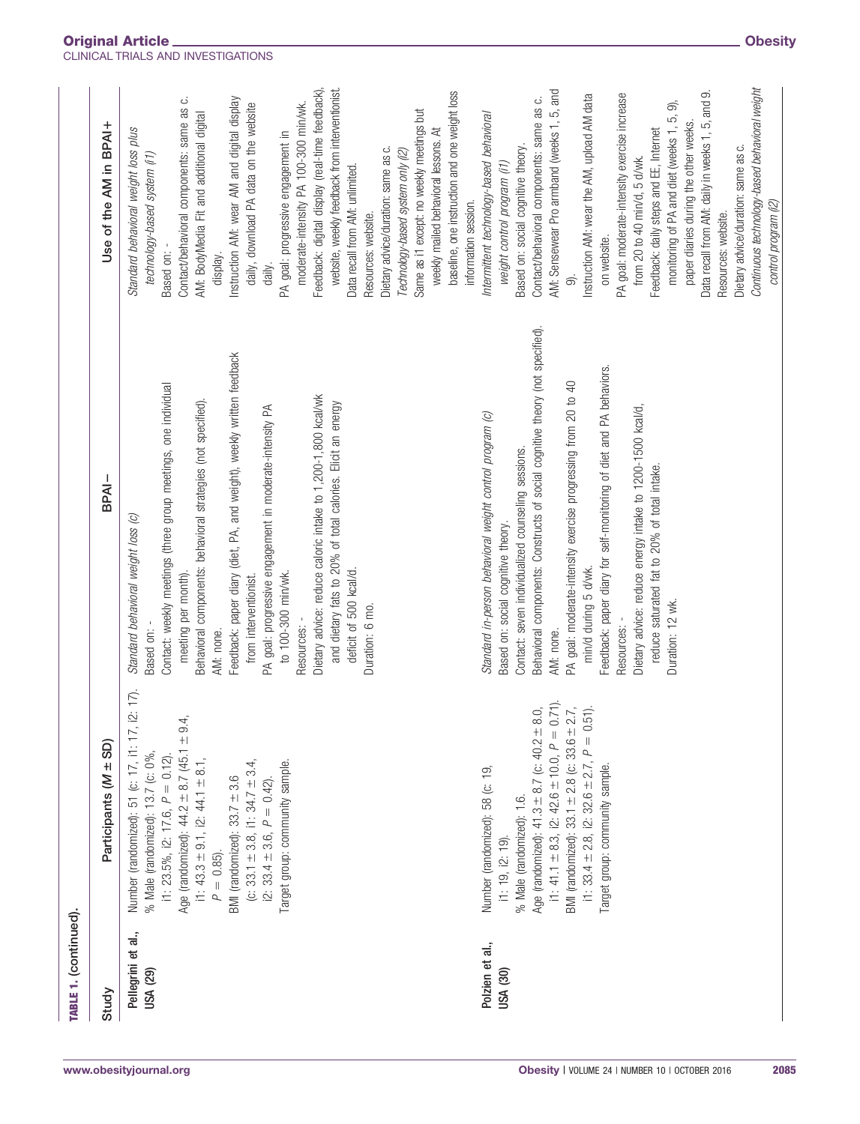| TABLE 1. (continued).          |                                                                                                                                                                                                                                                                                                                                                                                                                                        |                                                                                                                                                                                                                                                                                                                                                                                                                                                                                                                                                                                                      |                                                                                                                                                                                                                                                                                                                                                                                                                                                                                                                                                                                                                                                                                                                                            |
|--------------------------------|----------------------------------------------------------------------------------------------------------------------------------------------------------------------------------------------------------------------------------------------------------------------------------------------------------------------------------------------------------------------------------------------------------------------------------------|------------------------------------------------------------------------------------------------------------------------------------------------------------------------------------------------------------------------------------------------------------------------------------------------------------------------------------------------------------------------------------------------------------------------------------------------------------------------------------------------------------------------------------------------------------------------------------------------------|--------------------------------------------------------------------------------------------------------------------------------------------------------------------------------------------------------------------------------------------------------------------------------------------------------------------------------------------------------------------------------------------------------------------------------------------------------------------------------------------------------------------------------------------------------------------------------------------------------------------------------------------------------------------------------------------------------------------------------------------|
| Study                          | Participants (M ± SD)                                                                                                                                                                                                                                                                                                                                                                                                                  | $BPAI -$                                                                                                                                                                                                                                                                                                                                                                                                                                                                                                                                                                                             | Use of the AM in BPAI+                                                                                                                                                                                                                                                                                                                                                                                                                                                                                                                                                                                                                                                                                                                     |
| Pellegrini et al.,<br>USA (29) | $\stackrel{\rightharpoonup}{\sim}$<br>Number (randomized): 51 (c: 17, i1: 17, i2:<br>Age (randomized): $44.2 \pm 8.7$ (45.1 $\pm$ 9.4,<br>% Male (randomized): 13.7 (c: 0%,<br>i1: 23.5%, i2: 17.6, $P = 0.12$ ).<br>i1: $43.3 \pm 9.1$ , i2: $44.1 \pm 8.1$ ,<br>(c: 33.1 $\pm$ 3.8, i1: 34.7 $\pm$ 3.4,<br>Target group: community sample.<br>BMI (randomized): $33.7 \pm 3.6$<br>i2: 33.4 $\pm$ 3.6, $P = 0.42$ ).<br>$P = 0.85$ ). | Feedback: paper diary (diet, PA, and weight), weekly written feedback<br>Contact: weekly meetings (three group meetings, one individual<br>Dietary advice: reduce caloric intake to 1,200-1,800 kcal/wk<br>and dietary fats to 20% of total calories. Elicit an energy<br>Behavioral components: behavioral strategies (not specified)<br>PA goal: progressive engagement in moderate-intensity PA<br>Standard behavioral weight loss (c)<br>deficit of 500 kcal/d.<br>meeting per month).<br>to 100-300 min/wk.<br>from interventionist.<br>Duration: 6 mo.<br>Resources:<br>Based on:<br>AM: none. | Feedback: digital display (real-time feedback),<br>website, weekly feedback from interventionist.<br>Contact/behavioral components: same as c.<br>Instruction AM: wear AM and digital display<br>moderate-intensity PA 100-300 min/wk.<br>daily, download PA data on the website<br>Same as i1 except: no weekly meetings but<br>AM: BodyMedia Fit and additional digital<br>Standard behavioral weight loss plus<br>weekly mailed behavioral lessons. At<br>PA goal: progressive engagement in<br>Dietary advice/duration: same as c.<br>Technology-based system only (i2)<br>technology-based system (i1)<br>Data recall from AM: unlimited.<br>Resources: website.<br>Based on:<br>display.<br>daily.                                   |
| Polzien et al.,<br>USA (30)    | i1: 41.1 $\pm$ 8.3, i2: 42.6 $\pm$ 10.0, $P = 0.71$ ).<br>BMI (randomized): 33.1 $\pm$ 2.8 (c: 33.6 $\pm$ 2.7,<br>i1: $33.4 \pm 2.8$ , i2: $32.6 \pm 2.7$ , $P = 0.51$ ).<br>Age (randomized): $41.3 \pm 8.7$ (c: $40.2 \pm 8.0$ ,<br>Target group: community sample.<br>Number (randomized): 58 (c: 19,<br>% Male (randomized): 1.6.<br>i1: 19, i2: 19).                                                                              | Behavioral components: Constructs of social cognitive theory (not specified).<br>Feedback: paper diary for self-monitoring of diet and PA behaviors.<br>PA goal: moderate-intensity exercise progressing from 20 to 40<br>Dietary advice: reduce energy intake to 1200-1500 kcal/d,<br>Standard in-person behavioral weight control program (c)<br>Contact: seven individualized counseling sessions.<br>reduce saturated fat to 20% of total intake.<br>Based on: social cognitive theory.<br>min/d during 5 d/wk.<br>Duration: 12 wk.<br>Resources:<br>AM: none.                                   | Continuous technology-based behavioral weight<br>AM: Sensewear Pro armband (weeks 1, 5, and<br>baseline, one instruction and one weight loss<br>Data recall from AM: daily in weeks 1, 5, and 9.<br>Instruction AM: wear the AM, upload AM data<br>PA goal: moderate-intensity exercise increase<br>Contact/behavioral components: same as c.<br>ெ<br>Intermittent technology-based behavioral<br>monitoring of PA and diet (weeks 1, 5,<br>paper diaries during the other weeks.<br>Feedback: daily steps and EE, Internet<br>Based on: social cognitive theory.<br>Dietary advice/duration: same as c.<br>from 20 to 40 min/d, 5 d/wk.<br>weight control program (11)<br>information session.<br>Resources: website.<br>on website.<br>ெ |
|                                |                                                                                                                                                                                                                                                                                                                                                                                                                                        |                                                                                                                                                                                                                                                                                                                                                                                                                                                                                                                                                                                                      | control program (i2)                                                                                                                                                                                                                                                                                                                                                                                                                                                                                                                                                                                                                                                                                                                       |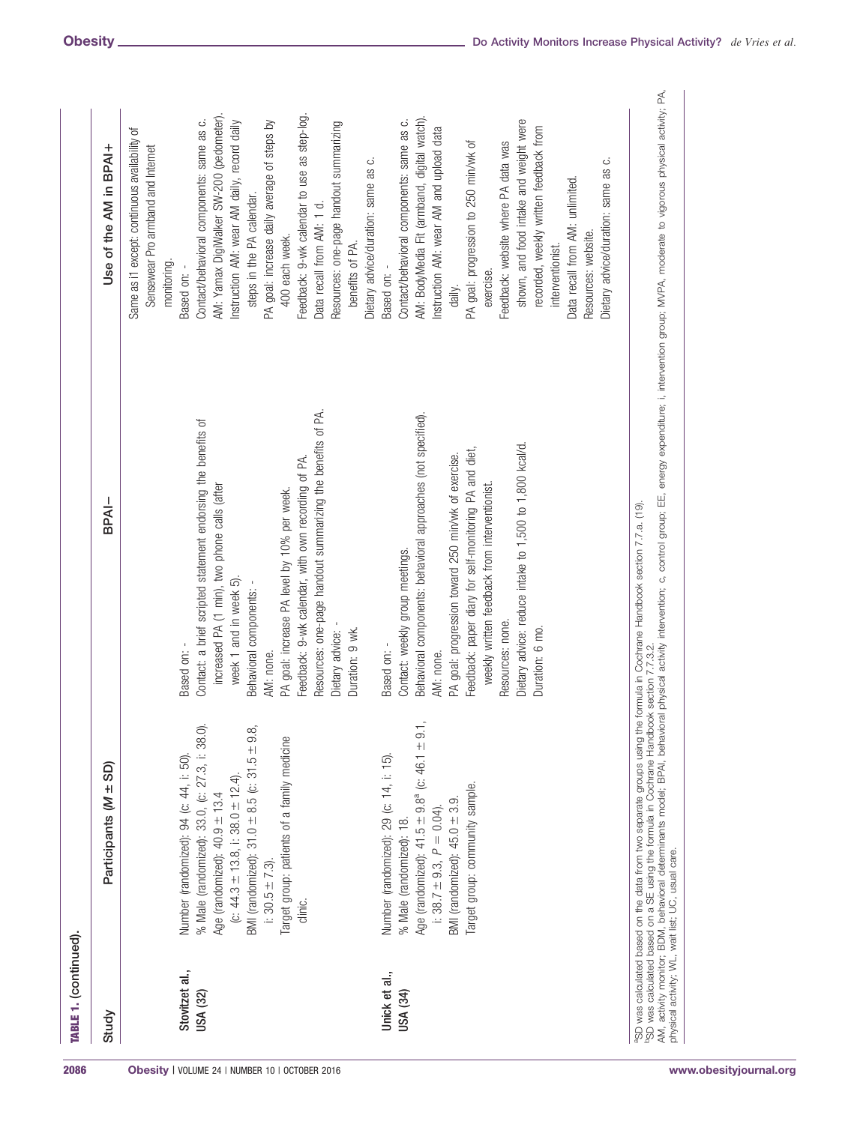| TABLE 1. (continued).             |                                                                                                                                                                                                                                                                                                          |                                                                                                                                                                                                                                                                                                                                                                                                 |                                                                                                                                                                                                                                                                                                                                                                                                                                                                    |
|-----------------------------------|----------------------------------------------------------------------------------------------------------------------------------------------------------------------------------------------------------------------------------------------------------------------------------------------------------|-------------------------------------------------------------------------------------------------------------------------------------------------------------------------------------------------------------------------------------------------------------------------------------------------------------------------------------------------------------------------------------------------|--------------------------------------------------------------------------------------------------------------------------------------------------------------------------------------------------------------------------------------------------------------------------------------------------------------------------------------------------------------------------------------------------------------------------------------------------------------------|
| Study                             | Participants (M ± SD)                                                                                                                                                                                                                                                                                    | BPAI-                                                                                                                                                                                                                                                                                                                                                                                           | Use of the AM in BPAI+                                                                                                                                                                                                                                                                                                                                                                                                                                             |
| Stovitzet al.,<br><b>USA (32)</b> | BMI (randomized): $31.0 \pm 8.5$ (c: $31.5 \pm 9.8$ ,<br>% Male (randomized): 33.0, (c: 27.3, i: 38.0).<br>Target group: patients of a family medicine<br>Number (randomized): 94 (c: 44, i: 50).<br>(c: 44.3 $\pm$ 13.8, i: 38.0 $\pm$ 12.4).<br>Age (randomized): $40.9 \pm 13.4$<br>$1: 30.5 \pm 7.3$ | Contact: a brief scripted statement endorsing the benefits of<br>increased PA (1 min), two phone calls (after<br>PA goal: increase PA level by 10% per week.<br>week 1 and in week 5).<br>Behavioral components:<br>Based on: -<br>AM: none.                                                                                                                                                    | AM: Yamax DigiWalker SW-200 (pedometer).<br>Contact/behavioral components: same as c.<br>Instruction AM: wear AM daily, record daily<br>PA goal: increase daily average of steps by<br>Same as i1 except: continuous availability of<br>Sensewear Pro armband and Internet<br>steps in the PA calendar.<br>400 each week.<br>monitoring.<br>Based on: -                                                                                                            |
|                                   | clinic.                                                                                                                                                                                                                                                                                                  | Resources: one-page handout summarizing the benefits of PA.<br>Feedback: 9-wk calendar, with own recording of PA.<br>Duration: 9 wk.<br>Dietary advice:                                                                                                                                                                                                                                         | Feedback: 9-wk calendar to use as step-log.<br>Resources: one-page handout summarizing<br>Dietary advice/duration: same as c.<br>Data recall from AM: 1 d.<br>benefits of PA.                                                                                                                                                                                                                                                                                      |
| Unick et al.,<br>USA (34)         | Age (randomized): $41.5 \pm 9.8^a$ (c: $46.1 \pm 9.1$<br>Number (randomized): 29 (c: 14, i: 15).<br>arget group: community sample.<br>BMI (randomized): $45.0 \pm 3.9$<br>i: 38.7 $\pm$ 9.3, $P = 0.04$ ).<br>% Male (randomized): 18.                                                                   | Behavioral components: behavioral approaches (not specified).<br>Dietary advice: reduce intake to 1,500 to 1,800 kcal/d<br>Feedback: paper diary for self-monitoring PA and diet,<br>PA goal: progression toward 250 min/wk of exercise.<br>weekly written feedback from interventionist.<br>Contact: weekly group meetings.<br>Resources: none.<br>Duration: 6 mo.<br>Based on: -<br>AM: none. | AM: BodyMedia Fit (armband, digital watch).<br>shown, and food intake and weight were<br>Contact/behavioral components: same as c.<br>Instruction AM: wear AM and upload data<br>recorded, weekly written feedback from<br>PA goal: progression to 250 min/wk of<br>Feedback: website where PA data was<br>Dietary advice/duration: same as c.<br>Data recall from AM: unlimited.<br>Resources: website.<br>interventionist.<br>Based on: -<br>exercise.<br>daily. |
|                                   | <sup>b</sup> SD was calculated based on a SE using the formula in Cochrane Handbook section 7.7.3.2.<br>aSD was calculated based on the data from two separate groups using the<br>physical activity; WL, wait list; UC, usual care.                                                                     | AM, activity monitor: BDM, behavioral determinants model; BPAI, behavioral physical activity intervention; c, control group; EE, energy expenditure; i, intervention group; MVPA, moderate to vigorous physical activity; PA,<br>formula in Cochrane Handbook section 7.7.a. (19).                                                                                                              |                                                                                                                                                                                                                                                                                                                                                                                                                                                                    |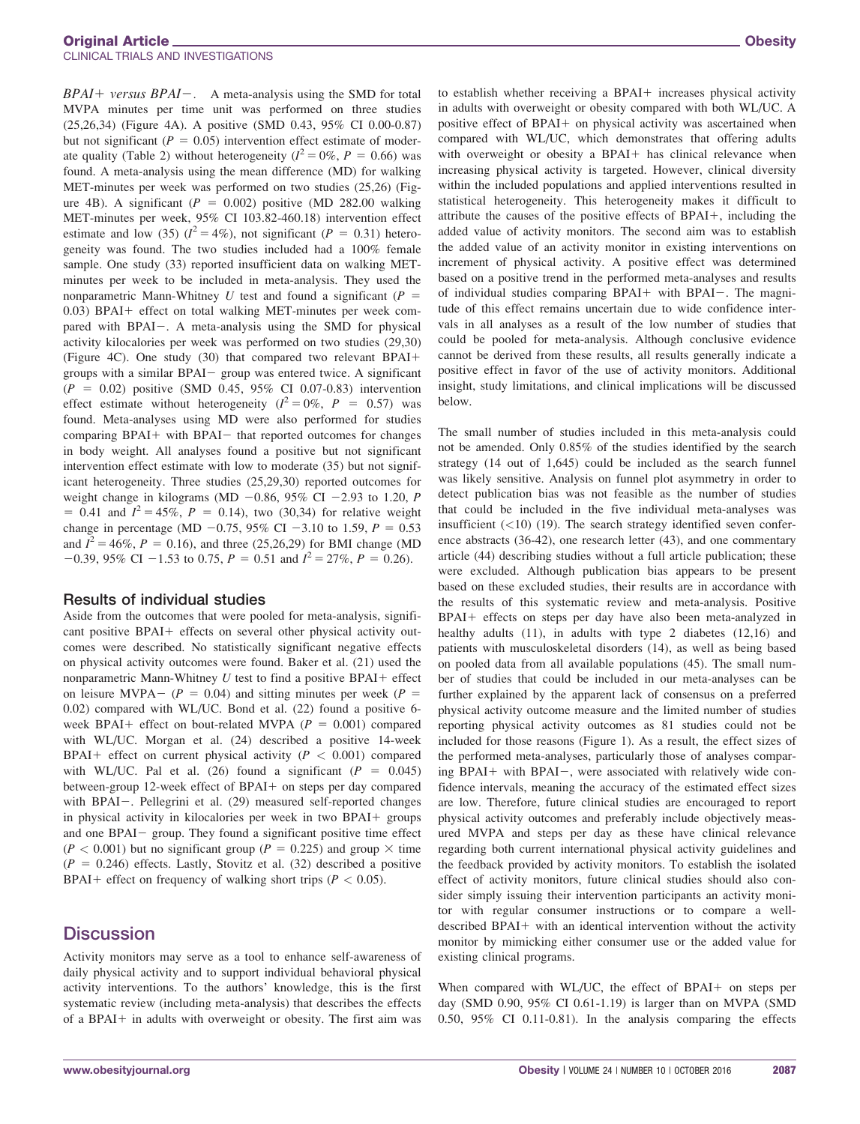#### Original Article Obesity CLINICAL TRIALS AND INVESTIGATIONS

 $BPAI+versus BPAI-.$  A meta-analysis using the SMD for total MVPA minutes per time unit was performed on three studies (25,26,34) (Figure 4A). A positive (SMD 0.43, 95% CI 0.00-0.87) but not significant ( $P = 0.05$ ) intervention effect estimate of moderate quality (Table 2) without heterogeneity ( $I^2 = 0\%$ ,  $P = 0.66$ ) was found. A meta-analysis using the mean difference (MD) for walking MET-minutes per week was performed on two studies (25,26) (Figure 4B). A significant ( $P = 0.002$ ) positive (MD 282.00 walking MET-minutes per week, 95% CI 103.82-460.18) intervention effect estimate and low (35)  $(l^2 = 4\%)$ , not significant  $(P = 0.31)$  heterogeneity was found. The two studies included had a 100% female sample. One study (33) reported insufficient data on walking METminutes per week to be included in meta-analysis. They used the nonparametric Mann-Whitney U test and found a significant ( $P =$ 0.03) BPAI+ effect on total walking MET-minutes per week compared with BPAI-. A meta-analysis using the SMD for physical activity kilocalories per week was performed on two studies (29,30) (Figure 4C). One study (30) that compared two relevant BPAI+ groups with a similar BPAI- group was entered twice. A significant  $(P = 0.02)$  positive (SMD 0.45, 95% CI 0.07-0.83) intervention effect estimate without heterogeneity ( $I^2 = 0\%$ ,  $P = 0.57$ ) was found. Meta-analyses using MD were also performed for studies comparing BPAI+ with BPAI- that reported outcomes for changes in body weight. All analyses found a positive but not significant intervention effect estimate with low to moderate (35) but not significant heterogeneity. Three studies (25,29,30) reported outcomes for weight change in kilograms (MD  $-0.86$ , 95% CI  $-2.93$  to 1.20, P = 0.41 and  $I^2 = 45\%, P = 0.14$ ), two (30,34) for relative weight change in percentage (MD  $-0.75$ , 95% CI  $-3.10$  to 1.59,  $P = 0.53$ and  $I^2 = 46\%, P = 0.16$ ), and three (25,26,29) for BMI change (MD  $-0.39$ , 95% CI  $-1.53$  to 0.75, P = 0.51 and  $I^2 = 27\%$ , P = 0.26).

#### Results of individual studies

Aside from the outcomes that were pooled for meta-analysis, significant positive BPAI+ effects on several other physical activity outcomes were described. No statistically significant negative effects on physical activity outcomes were found. Baker et al. (21) used the nonparametric Mann-Whitney  $U$  test to find a positive BPAI+ effect on leisure MVPA- ( $P = 0.04$ ) and sitting minutes per week ( $P =$ 0.02) compared with WL/UC. Bond et al. (22) found a positive 6 week BPAI+ effect on bout-related MVPA ( $P = 0.001$ ) compared with WL/UC. Morgan et al. (24) described a positive 14-week BPAI<sup>+</sup> effect on current physical activity ( $P < 0.001$ ) compared with WL/UC. Pal et al. (26) found a significant ( $P = 0.045$ ) between-group 12-week effect of BPAI+ on steps per day compared with BPAI-. Pellegrini et al. (29) measured self-reported changes in physical activity in kilocalories per week in two BPAI+ groups and one BPAI- group. They found a significant positive time effect  $(P < 0.001)$  but no significant group  $(P = 0.225)$  and group  $\times$  time  $(P = 0.246)$  effects. Lastly, Stovitz et al. (32) described a positive BPAI<sup>+</sup> effect on frequency of walking short trips ( $P < 0.05$ ).

## **Discussion**

Activity monitors may serve as a tool to enhance self-awareness of daily physical activity and to support individual behavioral physical activity interventions. To the authors' knowledge, this is the first systematic review (including meta-analysis) that describes the effects of a BPAI+ in adults with overweight or obesity. The first aim was to establish whether receiving a BPAI+ increases physical activity in adults with overweight or obesity compared with both WL/UC. A positive effect of  $BPAI+$  on physical activity was ascertained when compared with WL/UC, which demonstrates that offering adults with overweight or obesity a BPAI+ has clinical relevance when increasing physical activity is targeted. However, clinical diversity within the included populations and applied interventions resulted in statistical heterogeneity. This heterogeneity makes it difficult to attribute the causes of the positive effects of  $BPAI+$ , including the added value of activity monitors. The second aim was to establish the added value of an activity monitor in existing interventions on increment of physical activity. A positive effect was determined based on a positive trend in the performed meta-analyses and results of individual studies comparing BPAI+ with BPAI-. The magnitude of this effect remains uncertain due to wide confidence intervals in all analyses as a result of the low number of studies that could be pooled for meta-analysis. Although conclusive evidence cannot be derived from these results, all results generally indicate a positive effect in favor of the use of activity monitors. Additional insight, study limitations, and clinical implications will be discussed below.

The small number of studies included in this meta-analysis could not be amended. Only 0.85% of the studies identified by the search strategy (14 out of 1,645) could be included as the search funnel was likely sensitive. Analysis on funnel plot asymmetry in order to detect publication bias was not feasible as the number of studies that could be included in the five individual meta-analyses was insufficient  $(<10)$  (19). The search strategy identified seven conference abstracts (36-42), one research letter (43), and one commentary article (44) describing studies without a full article publication; these were excluded. Although publication bias appears to be present based on these excluded studies, their results are in accordance with the results of this systematic review and meta-analysis. Positive BPAI+ effects on steps per day have also been meta-analyzed in healthy adults (11), in adults with type 2 diabetes (12,16) and patients with musculoskeletal disorders (14), as well as being based on pooled data from all available populations (45). The small number of studies that could be included in our meta-analyses can be further explained by the apparent lack of consensus on a preferred physical activity outcome measure and the limited number of studies reporting physical activity outcomes as 81 studies could not be included for those reasons (Figure 1). As a result, the effect sizes of the performed meta-analyses, particularly those of analyses comparing BPAI+ with BPAI-, were associated with relatively wide confidence intervals, meaning the accuracy of the estimated effect sizes are low. Therefore, future clinical studies are encouraged to report physical activity outcomes and preferably include objectively measured MVPA and steps per day as these have clinical relevance regarding both current international physical activity guidelines and the feedback provided by activity monitors. To establish the isolated effect of activity monitors, future clinical studies should also consider simply issuing their intervention participants an activity monitor with regular consumer instructions or to compare a welldescribed BPAI+ with an identical intervention without the activity monitor by mimicking either consumer use or the added value for existing clinical programs.

When compared with WL/UC, the effect of BPAI+ on steps per day (SMD 0.90, 95% CI 0.61-1.19) is larger than on MVPA (SMD 0.50, 95% CI 0.11-0.81). In the analysis comparing the effects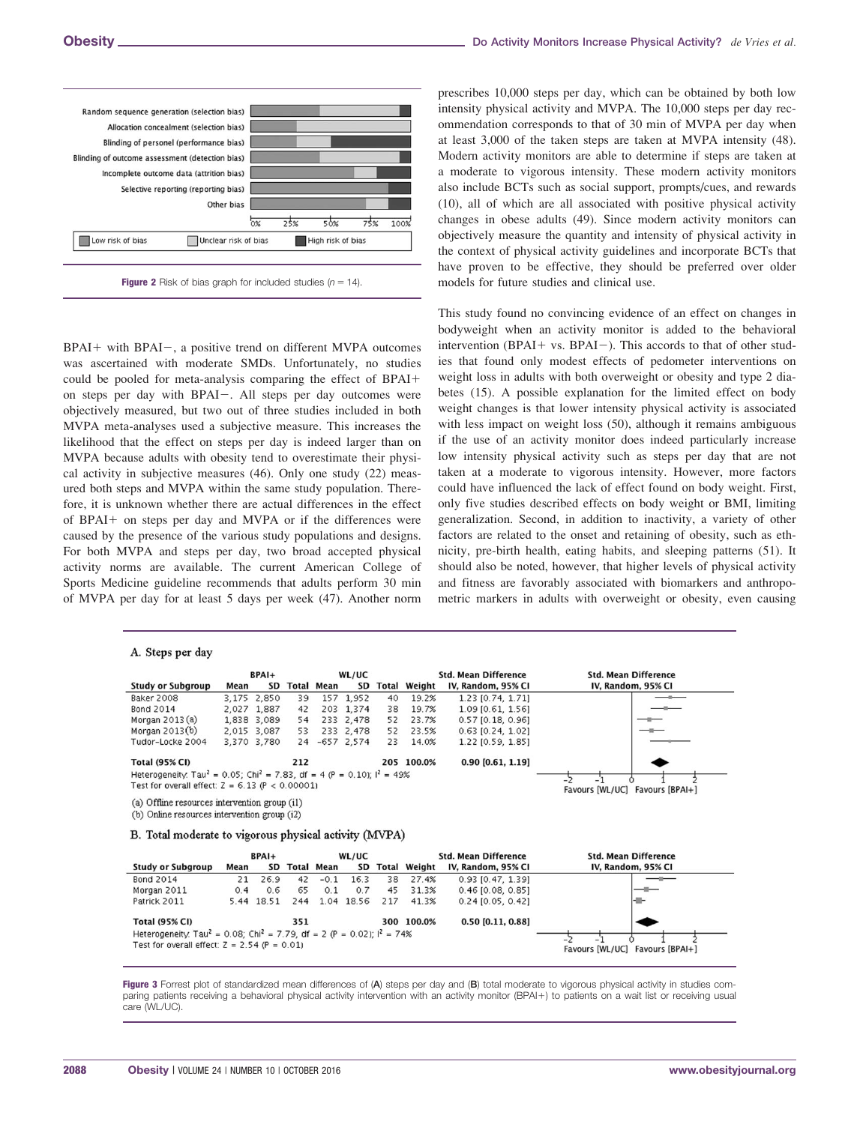

 $BPAI+$  with  $BPAI-$ , a positive trend on different MVPA outcomes was ascertained with moderate SMDs. Unfortunately, no studies could be pooled for meta-analysis comparing the effect of BPAI+ on steps per day with BPAI-. All steps per day outcomes were objectively measured, but two out of three studies included in both MVPA meta-analyses used a subjective measure. This increases the likelihood that the effect on steps per day is indeed larger than on MVPA because adults with obesity tend to overestimate their physical activity in subjective measures (46). Only one study (22) measured both steps and MVPA within the same study population. Therefore, it is unknown whether there are actual differences in the effect of BPAI+ on steps per day and MVPA or if the differences were caused by the presence of the various study populations and designs. For both MVPA and steps per day, two broad accepted physical activity norms are available. The current American College of Sports Medicine guideline recommends that adults perform 30 min of MVPA per day for at least 5 days per week (47). Another norm

#### A. Steps per day

prescribes 10,000 steps per day, which can be obtained by both low intensity physical activity and MVPA. The 10,000 steps per day recommendation corresponds to that of 30 min of MVPA per day when at least 3,000 of the taken steps are taken at MVPA intensity (48). Modern activity monitors are able to determine if steps are taken at a moderate to vigorous intensity. These modern activity monitors also include BCTs such as social support, prompts/cues, and rewards (10), all of which are all associated with positive physical activity changes in obese adults (49). Since modern activity monitors can objectively measure the quantity and intensity of physical activity in the context of physical activity guidelines and incorporate BCTs that have proven to be effective, they should be preferred over older models for future studies and clinical use.

This study found no convincing evidence of an effect on changes in bodyweight when an activity monitor is added to the behavioral intervention (BPAI+ vs. BPAI-). This accords to that of other studies that found only modest effects of pedometer interventions on weight loss in adults with both overweight or obesity and type 2 diabetes (15). A possible explanation for the limited effect on body weight changes is that lower intensity physical activity is associated with less impact on weight loss (50), although it remains ambiguous if the use of an activity monitor does indeed particularly increase low intensity physical activity such as steps per day that are not taken at a moderate to vigorous intensity. However, more factors could have influenced the lack of effect found on body weight. First, only five studies described effects on body weight or BMI, limiting generalization. Second, in addition to inactivity, a variety of other factors are related to the onset and retaining of obesity, such as ethnicity, pre-birth health, eating habits, and sleeping patterns (51). It should also be noted, however, that higher levels of physical activity and fitness are favorably associated with biomarkers and anthropometric markers in adults with overweight or obesity, even causing

|                                                                                                 |      | BPAI+       |     |                   | WL/UC        |       |              | <b>Std. Mean Difference</b> | <b>Std. Mean Difference</b>        |
|-------------------------------------------------------------------------------------------------|------|-------------|-----|-------------------|--------------|-------|--------------|-----------------------------|------------------------------------|
| <b>Study or Subgroup</b>                                                                        | Mean | SD          |     | <b>Total Mean</b> | SD           | Total | Weight       | IV, Random, 95% CI          | IV, Random, 95% CI                 |
| <b>Baker 2008</b>                                                                               |      | 3.175 2.850 | 39  |                   | 157 1.952    | 40    | 19.2%        | 1.23 [0.74, 1.71]           |                                    |
| <b>Bond 2014</b>                                                                                |      | 2,027 1,887 | 42  |                   | 203 1.374    | 38    | 19.7%        | $1.09$ [0.61, 1.56]         |                                    |
| Morgan $2013(a)$                                                                                |      | 1,838 3,089 | 54  |                   | 233 2,478    | 52    | 23.7%        | $0.57$ [0.18, 0.96]         |                                    |
| Morgan $2013(b)$                                                                                |      | 2,015 3,087 | 53  |                   | 233 2,478    | 52    | 23.5%        | $0.63$ [0.24, 1.02]         |                                    |
| Tudor-Locke 2004                                                                                |      | 3,370 3,780 | 24  |                   | $-657$ 2.574 | 23    | 14.0%        | 1.22 [0.59, 1.85]           |                                    |
| <b>Total (95% CI)</b>                                                                           |      |             | 212 |                   |              |       | 205 100.0%   | $0.90$ [0.61, 1.19]         |                                    |
| Heterogeneity: Tau <sup>2</sup> = 0.05; Chi <sup>2</sup> = 7.83, df = 4 (P = 0.10); $I^2$ = 49% |      |             |     |                   |              |       |              |                             | -1                                 |
| Test for overall effect: $Z = 6.13$ (P < 0.00001)                                               |      |             |     |                   |              |       |              |                             | Favours [WL/UC] Favours [BPAI+]    |
| (a) Offline resources intervention group (i1)                                                   |      |             |     |                   |              |       |              |                             |                                    |
| (b) Online resources intervention group (i2)                                                    |      |             |     |                   |              |       |              |                             |                                    |
| B. Total moderate to vigorous physical activity (MVPA)                                          |      |             |     |                   |              |       |              |                             |                                    |
|                                                                                                 |      | $BPAI+$     |     |                   | WL/UC        |       |              | <b>Std. Mean Difference</b> | <b>Std. Mean Difference</b>        |
| <b>Study or Subgroup</b>                                                                        | Mean | SD          |     | <b>Total Mean</b> | SD           |       | Total Weight | IV, Random, 95% CI          | IV, Random, 95% CI                 |
| <b>Bond 2014</b>                                                                                | 21   | 26.9        | 42  | $-0.1$            | 16.3         | 38    | 27.4%        | $0.93$ [0.47, 1.39]         |                                    |
| Morgan 2011                                                                                     | 0.4  | 0.6         | 65  | 0.1               | 0.7          | 45    | 31.3%        | $0.46$ [0.08, 0.85]         |                                    |
| Patrick 2011                                                                                    |      | 5.44 18.51  | 244 |                   | 1.04 18.56   | 217   | 41.3%        | $0.24$ [0.05, 0.42]         |                                    |
| <b>Total (95% CI)</b>                                                                           |      |             | 351 |                   |              |       | 300 100.0%   | $0.50$ [0.11, 0.88]         |                                    |
| Heterogeneity. Tau <sup>2</sup> = 0.08; Chi <sup>2</sup> = 7.79, df = 2 (P = 0.02); $I^2$ = 74% |      |             |     |                   |              |       |              |                             |                                    |
| Test for overall effect: $Z = 2.54$ (P = 0.01)                                                  |      |             |     |                   |              |       |              |                             |                                    |
|                                                                                                 |      |             |     |                   |              |       |              |                             | Favours [WL/UC]<br>Favours [BPAI+] |

Figure 3 Forrest plot of standardized mean differences of (A) steps per day and (B) total moderate to vigorous physical activity in studies comparing patients receiving a behavioral physical activity intervention with an activity monitor (BPAI+) to patients on a wait list or receiving usual care (WL/UC).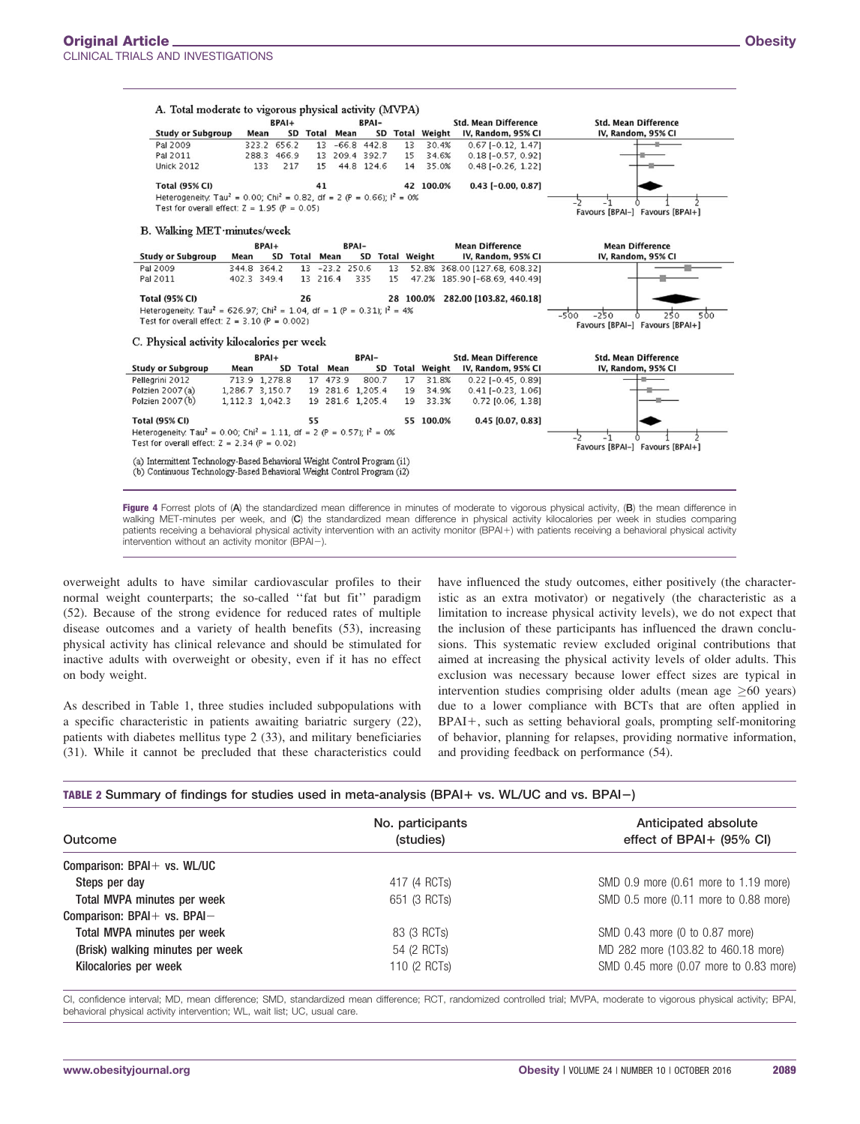|                                                                                                                                                    |                 | BPAI+         |               |                | <b>BPAI-</b>     |    |                 | <b>Std. Mean Difference</b>        | <b>Std. Mean Difference</b>          |
|----------------------------------------------------------------------------------------------------------------------------------------------------|-----------------|---------------|---------------|----------------|------------------|----|-----------------|------------------------------------|--------------------------------------|
| <b>Study or Subgroup</b>                                                                                                                           | Mean            |               | SD Total      | Mean           |                  |    | SD Total Weight | IV, Random, 95% CI                 | IV, Random, 95% CI                   |
| Pal 2009                                                                                                                                           |                 | 323.2 656.2   |               |                | 13 -66.8 442.8   | 13 | 30.4%           | $0.67$ [-0.12, 1.47]               |                                      |
| Pal 2011                                                                                                                                           |                 | 288.3 466.9   |               |                | 13 209.4 392.7   | 15 | 34.6%           | $0.18[-0.57, 0.92]$                |                                      |
| <b>Unick 2012</b>                                                                                                                                  | 133             | 217           | 15            |                | 44.8 124.6       | 14 | 35.0%           | $0.48$ [ $-0.26$ , 1.22]           |                                      |
| <b>Total (95% CI)</b>                                                                                                                              |                 |               | 41            |                |                  |    | 42 100.0%       | $0.43$ [-0.00, 0.87]               |                                      |
| Heterogeneity: Tau <sup>2</sup> = 0.00; Chi <sup>2</sup> = 0.82, df = 2 (P = 0.66); $I^2$ = 0%                                                     |                 |               |               |                |                  |    |                 |                                    |                                      |
| Test for overall effect: $Z = 1.95$ (P = 0.05)                                                                                                     |                 |               |               |                |                  |    |                 |                                    | Favours [BPAI-] Favours [BPAI+]      |
| B. Walking MET minutes/week                                                                                                                        |                 |               |               |                |                  |    |                 |                                    |                                      |
|                                                                                                                                                    | $BPAI+$         |               |               | <b>BPAI-</b>   |                  |    |                 | <b>Mean Difference</b>             | <b>Mean Difference</b>               |
| <b>Study or Subgroup</b>                                                                                                                           | Mean            | SD Total Mean |               |                | SD Total Weight  |    |                 | IV, Random, 95% CI                 | IV, Random, 95% CI                   |
| Pal 2009                                                                                                                                           | 344.8 364.2     |               |               | 13 -23.2 250.6 |                  | 13 |                 | 52.8% 368.00 [127.68, 608.32]      |                                      |
| Pal 2011                                                                                                                                           | 402.3 349.4     |               | 13 216.4      |                | 335              | 15 |                 | 47.2% 185.90 [-68.69, 440.49]      |                                      |
|                                                                                                                                                    |                 |               |               |                |                  |    |                 |                                    |                                      |
| <b>Total (95% CI)</b>                                                                                                                              |                 |               | 26            |                |                  |    |                 | 28 100.0% 282.00 [103.82, 460.18]  |                                      |
| Heterogeneity. Tau <sup>2</sup> = 626.97; Chi <sup>2</sup> = 1.04, df = 1 (P = 0.31); $I^2$ = 4%                                                   |                 |               |               |                |                  |    |                 |                                    | $-250$<br>$-5'00$<br>250<br>500<br>Λ |
| Test for overall effect: $Z = 3.10$ (P = 0.002)                                                                                                    |                 |               |               |                |                  |    |                 |                                    | Favours [BPAI-] Favours [BPAI+]      |
| C. Physical activity kilocalories per week                                                                                                         |                 |               |               |                |                  |    |                 |                                    |                                      |
|                                                                                                                                                    |                 |               |               |                |                  |    |                 |                                    |                                      |
|                                                                                                                                                    |                 |               |               |                | <b>BPAI-</b>     |    |                 | <b>Std. Mean Difference</b>        | <b>Std. Mean Difference</b>          |
|                                                                                                                                                    | BPAI+           |               |               |                |                  |    |                 | SD Total Weight IV, Random, 95% CI | IV, Random, 95% CI                   |
| <b>Study or Subgroup</b>                                                                                                                           | Mean            |               | SD Total Mean |                |                  |    |                 |                                    |                                      |
| Pellegrini 2012                                                                                                                                    | 713.9 1,278.8   |               |               | 17 473.9       | 800.7            | 17 | 31.8%           | $0.22$ [-0.45, 0.89]               |                                      |
| Polzien 2007 (a)                                                                                                                                   | 1,286.7 3,150.7 |               |               |                | 19 281.6 1,205.4 | 19 | 34.9%           | $0.41$ [-0.23, 1.06]               |                                      |
| Polzien 2007 (b)                                                                                                                                   | 1,112.3 1,042.3 |               |               |                | 19 281.6 1,205.4 | 19 | 33.3%           | $0.72$ [0.06, 1.38]                |                                      |
| <b>Total (95% CI)</b>                                                                                                                              |                 |               | 55            |                |                  |    | 55 100.0%       | $0.45$ [0.07, 0.83]                |                                      |
| Heterogeneity. Tau <sup>2</sup> = 0.00; Chi <sup>2</sup> = 1.11, df = 2 (P = 0.57); $I^2$ = 0%                                                     |                 |               |               |                |                  |    |                 |                                    |                                      |
|                                                                                                                                                    |                 |               |               |                |                  |    |                 |                                    |                                      |
| Test for overall effect: $Z = 2.34$ (P = 0.02)                                                                                                     |                 |               |               |                |                  |    |                 |                                    | Favours [BPAI-] Favours [BPAI+]      |
| (a) Intermittent Technology-Based Behavioral Weight Control Program (i1)<br>(b) Continuous Technology-Based Behavioral Weight Control Program (i2) |                 |               |               |                |                  |    |                 |                                    |                                      |

Figure 4 Forrest plots of (A) the standardized mean difference in minutes of moderate to vigorous physical activity, (B) the mean difference in walking MET-minutes per week, and (C) the standardized mean difference in physical activity kilocalories per week in studies comparing patients receiving a behavioral physical activity intervention with an activity monitor (BPAI+) with patients receiving a behavioral physical activity intervention without an activity monitor (BPAI-).

overweight adults to have similar cardiovascular profiles to their normal weight counterparts; the so-called ''fat but fit'' paradigm (52). Because of the strong evidence for reduced rates of multiple disease outcomes and a variety of health benefits (53), increasing physical activity has clinical relevance and should be stimulated for inactive adults with overweight or obesity, even if it has no effect on body weight.

As described in Table 1, three studies included subpopulations with a specific characteristic in patients awaiting bariatric surgery (22), patients with diabetes mellitus type 2 (33), and military beneficiaries (31). While it cannot be precluded that these characteristics could have influenced the study outcomes, either positively (the characteristic as an extra motivator) or negatively (the characteristic as a limitation to increase physical activity levels), we do not expect that the inclusion of these participants has influenced the drawn conclusions. This systematic review excluded original contributions that aimed at increasing the physical activity levels of older adults. This exclusion was necessary because lower effect sizes are typical in intervention studies comprising older adults (mean age  $\geq 60$  years) due to a lower compliance with BCTs that are often applied in BPAI+, such as setting behavioral goals, prompting self-monitoring of behavior, planning for relapses, providing normative information, and providing feedback on performance (54).

#### TABLE 2 Summary of findings for studies used in meta-analysis (BPAI+ vs. WL/UC and vs. BPAI-)

| Outcome                          | No. participants<br>(studies) | Anticipated absolute<br>effect of BPAI+ (95% CI) |
|----------------------------------|-------------------------------|--------------------------------------------------|
| Comparison: BPAI+ vs. WL/UC      |                               |                                                  |
| Steps per day                    | 417 (4 RCTs)                  | SMD 0.9 more (0.61 more to 1.19 more)            |
| Total MVPA minutes per week      | 651 (3 RCTs)                  | SMD 0.5 more (0.11 more to 0.88 more)            |
| Comparison: BPAI+ vs. BPAI-      |                               |                                                  |
| Total MVPA minutes per week      | 83 (3 RCTs)                   | SMD 0.43 more (0 to 0.87 more)                   |
| (Brisk) walking minutes per week | 54 (2 RCTs)                   | MD 282 more (103.82 to 460.18 more)              |
| Kilocalories per week            | 110 (2 RCTs)                  | SMD 0.45 more (0.07 more to 0.83 more)           |

CI, confidence interval; MD, mean difference; SMD, standardized mean difference; RCT, randomized controlled trial; MVPA, moderate to vigorous physical activity; BPAI, behavioral physical activity intervention; WL, wait list; UC, usual care.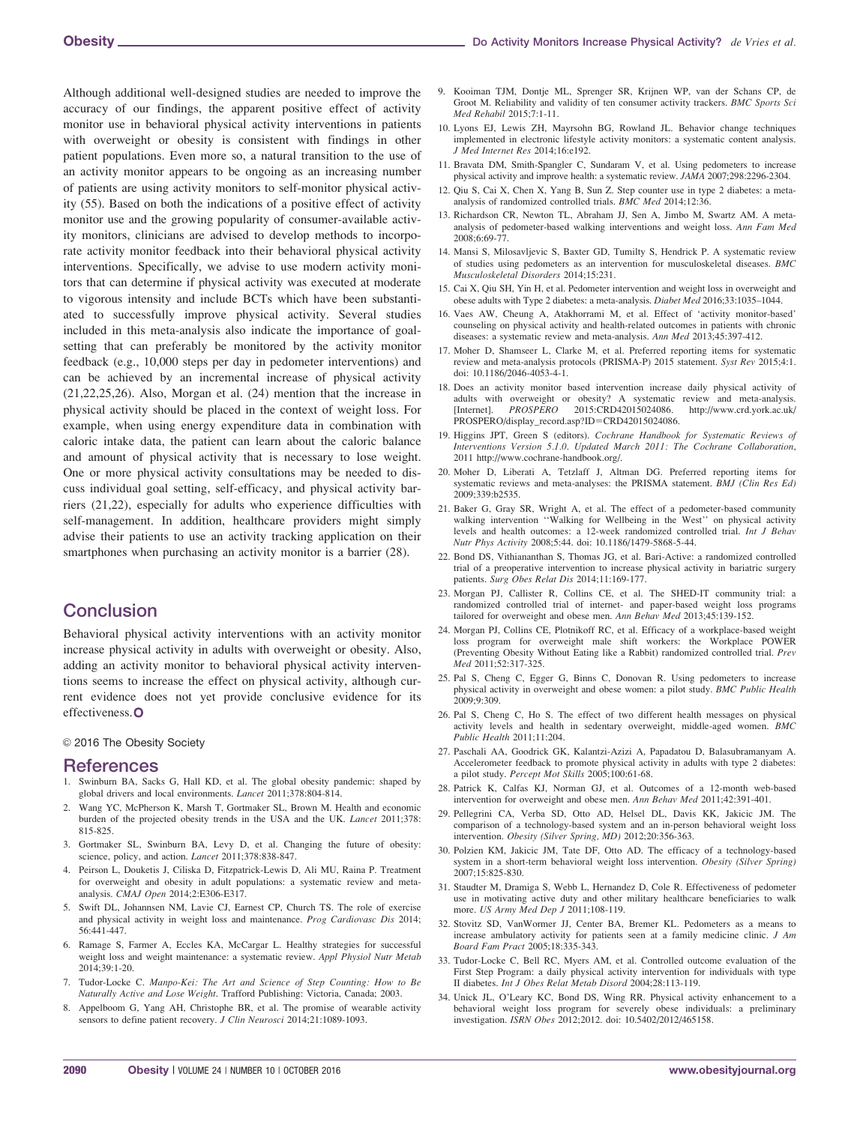Although additional well-designed studies are needed to improve the accuracy of our findings, the apparent positive effect of activity monitor use in behavioral physical activity interventions in patients with overweight or obesity is consistent with findings in other patient populations. Even more so, a natural transition to the use of an activity monitor appears to be ongoing as an increasing number of patients are using activity monitors to self-monitor physical activity (55). Based on both the indications of a positive effect of activity monitor use and the growing popularity of consumer-available activity monitors, clinicians are advised to develop methods to incorporate activity monitor feedback into their behavioral physical activity interventions. Specifically, we advise to use modern activity monitors that can determine if physical activity was executed at moderate to vigorous intensity and include BCTs which have been substantiated to successfully improve physical activity. Several studies included in this meta-analysis also indicate the importance of goalsetting that can preferably be monitored by the activity monitor feedback (e.g., 10,000 steps per day in pedometer interventions) and can be achieved by an incremental increase of physical activity (21,22,25,26). Also, Morgan et al. (24) mention that the increase in physical activity should be placed in the context of weight loss. For example, when using energy expenditure data in combination with caloric intake data, the patient can learn about the caloric balance and amount of physical activity that is necessary to lose weight. One or more physical activity consultations may be needed to discuss individual goal setting, self-efficacy, and physical activity barriers (21,22), especially for adults who experience difficulties with self-management. In addition, healthcare providers might simply advise their patients to use an activity tracking application on their smartphones when purchasing an activity monitor is a barrier (28).

# **Conclusion**

Behavioral physical activity interventions with an activity monitor increase physical activity in adults with overweight or obesity. Also, adding an activity monitor to behavioral physical activity interventions seems to increase the effect on physical activity, although current evidence does not yet provide conclusive evidence for its effectiveness.O

© 2016 The Obesity Society

#### References

- 1. Swinburn BA, Sacks G, Hall KD, et al. The global obesity pandemic: shaped by global drivers and local environments. Lancet 2011;378:804-814.
- 2. Wang YC, McPherson K, Marsh T, Gortmaker SL, Brown M. Health and economic burden of the projected obesity trends in the USA and the UK. Lancet 2011;378: 815-825.
- 3. Gortmaker SL, Swinburn BA, Levy D, et al. Changing the future of obesity: science, policy, and action. Lancet 2011;378:838-847.
- 4. Peirson L, Douketis J, Ciliska D, Fitzpatrick-Lewis D, Ali MU, Raina P. Treatment for overweight and obesity in adult populations: a systematic review and metaanalysis. CMAJ Open 2014;2:E306-E317.
- 5. Swift DL, Johannsen NM, Lavie CJ, Earnest CP, Church TS. The role of exercise and physical activity in weight loss and maintenance. Prog Cardiovasc Dis 2014; 56:441-447.
- 6. Ramage S, Farmer A, Eccles KA, McCargar L. Healthy strategies for successful weight loss and weight maintenance: a systematic review. Appl Physiol Nutr Metab 2014;39:1-20.
- 7. Tudor-Locke C. Manpo-Kei: The Art and Science of Step Counting: How to Be Naturally Active and Lose Weight. Trafford Publishing: Victoria, Canada; 2003.
- 8. Appelboom G, Yang AH, Christophe BR, et al. The promise of wearable activity sensors to define patient recovery. J Clin Neurosci 2014;21:1089-1093.
- 9. Kooiman TJM, Dontje ML, Sprenger SR, Krijnen WP, van der Schans CP, de Groot M. Reliability and validity of ten consumer activity trackers. BMC Sports Sci Med Rehabil 2015;7:1-11.
- 10. Lyons EJ, Lewis ZH, Mayrsohn BG, Rowland JL. Behavior change techniques implemented in electronic lifestyle activity monitors: a systematic content analysis. J Med Internet Res 2014;16:e192.
- 11. Bravata DM, Smith-Spangler C, Sundaram V, et al. Using pedometers to increase physical activity and improve health: a systematic review. JAMA 2007;298:2296-2304.
- 12. Qiu S, Cai X, Chen X, Yang B, Sun Z. Step counter use in type 2 diabetes: a metaanalysis of randomized controlled trials. BMC Med 2014;12:36.
- 13. Richardson CR, Newton TL, Abraham JJ, Sen A, Jimbo M, Swartz AM. A metaanalysis of pedometer-based walking interventions and weight loss. Ann Fam Med 2008;6:69-77.
- 14. Mansi S, Milosavljevic S, Baxter GD, Tumilty S, Hendrick P. A systematic review of studies using pedometers as an intervention for musculoskeletal diseases. BMC Musculoskeletal Disorders 2014;15:231.
- 15. Cai X, Qiu SH, Yin H, et al. Pedometer intervention and weight loss in overweight and obese adults with Type 2 diabetes: a meta-analysis. Diabet Med 2016;33:1035–1044.
- 16. Vaes AW, Cheung A, Atakhorrami M, et al. Effect of 'activity monitor-based' counseling on physical activity and health-related outcomes in patients with chronic diseases: a systematic review and meta-analysis. Ann Med 2013;45:397-412.
- 17. Moher D, Shamseer L, Clarke M, et al. Preferred reporting items for systematic review and meta-analysis protocols (PRISMA-P) 2015 statement. Syst Rev 2015;4:1. doi: [10.1186/2046-4053-4-1](info:doi/10.1186/2046-4053-4-1).
- 18. Does an activity monitor based intervention increase daily physical activity of adults with overweight or obesity? A systematic review and meta-analysis. [Internet]. PROSPERO 2015:CRD42015024086. [http://www.crd.york.ac.uk/](http://www.crd.york.ac.uk/PROSPERO/display_record.asp?ID=CRD42015024086) [PROSPERO/display\\_record.asp?ID](http://www.crd.york.ac.uk/PROSPERO/display_record.asp?ID=CRD42015024086)=[CRD42015024086.](http://www.crd.york.ac.uk/PROSPERO/display_record.asp?ID=CRD42015024086)
- 19. Higgins JPT, Green S (editors). Cochrane Handbook for Systematic Reviews of Interventions Version 5.1.0. Updated March 2011: The Cochrane Collaboration, 2011 [http://www.cochrane-handbook.org/.](http://www.cochrane-handbook.org/)
- 20. Moher D, Liberati A, Tetzlaff J, Altman DG. Preferred reporting items for systematic reviews and meta-analyses: the PRISMA statement. BMJ (Clin Res Ed) 2009;339:b2535.
- 21. Baker G, Gray SR, Wright A, et al. The effect of a pedometer-based community walking intervention ''Walking for Wellbeing in the West'' on physical activity levels and health outcomes: a 12-week randomized controlled trial. Int J Behav Nutr Phys Activity 2008;5:44. doi: [10.1186/1479-5868-5-44](info:doi/10.1186/1479-5868-5-44).
- 22. Bond DS, Vithiananthan S, Thomas JG, et al. Bari-Active: a randomized controlled trial of a preoperative intervention to increase physical activity in bariatric surgery patients. Surg Obes Relat Dis 2014;11:169-177.
- 23. Morgan PJ, Callister R, Collins CE, et al. The SHED-IT community trial: a randomized controlled trial of internet- and paper-based weight loss programs tailored for overweight and obese men. Ann Behav Med 2013;45:139-152.
- 24. Morgan PJ, Collins CE, Plotnikoff RC, et al. Efficacy of a workplace-based weight loss program for overweight male shift workers: the Workplace POWER (Preventing Obesity Without Eating like a Rabbit) randomized controlled trial. Prev Med 2011;52:317-325.
- 25. Pal S, Cheng C, Egger G, Binns C, Donovan R. Using pedometers to increase physical activity in overweight and obese women: a pilot study. BMC Public Health 2009;9:309.
- 26. Pal S, Cheng C, Ho S. The effect of two different health messages on physical activity levels and health in sedentary overweight, middle-aged women. BMC Public Health 2011;11:204.
- 27. Paschali AA, Goodrick GK, Kalantzi-Azizi A, Papadatou D, Balasubramanyam A. Accelerometer feedback to promote physical activity in adults with type 2 diabetes: a pilot study. Percept Mot Skills 2005;100:61-68.
- 28. Patrick K, Calfas KJ, Norman GJ, et al. Outcomes of a 12-month web-based intervention for overweight and obese men. Ann Behav Med 2011;42:391-401.
- 29. Pellegrini CA, Verba SD, Otto AD, Helsel DL, Davis KK, Jakicic JM. The comparison of a technology-based system and an in-person behavioral weight loss intervention. Obesity (Silver Spring, MD) 2012;20:356-363.
- 30. Polzien KM, Jakicic JM, Tate DF, Otto AD. The efficacy of a technology-based system in a short-term behavioral weight loss intervention. Obesity (Silver Spring) 2007;15:825-830.
- 31. Staudter M, Dramiga S, Webb L, Hernandez D, Cole R. Effectiveness of pedometer use in motivating active duty and other military healthcare beneficiaries to walk more. US Army Med Dep J 2011;108-119.
- 32. Stovitz SD, VanWormer JJ, Center BA, Bremer KL. Pedometers as a means to increase ambulatory activity for patients seen at a family medicine clinic. J Am Board Fam Pract 2005;18:335-343.
- 33. Tudor-Locke C, Bell RC, Myers AM, et al. Controlled outcome evaluation of the First Step Program: a daily physical activity intervention for individuals with type II diabetes. Int J Obes Relat Metab Disord 2004;28:113-119.
- 34. Unick JL, O'Leary KC, Bond DS, Wing RR. Physical activity enhancement to a behavioral weight loss program for severely obese individuals: a preliminary investigation. ISRN Obes 2012;2012. doi: [10.5402/2012/465158.](info:doi/10.5402/2012/465158)